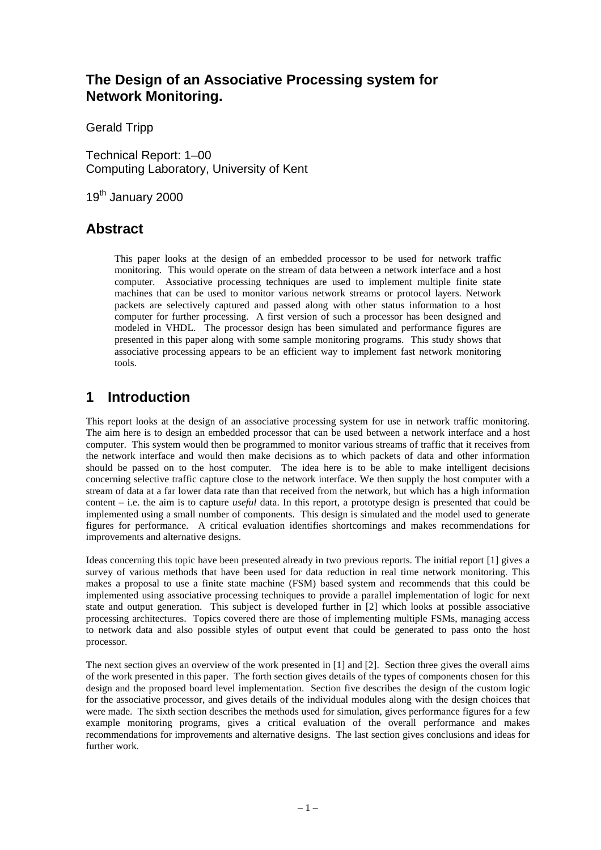# **The Design of an Associative Processing system for Network Monitoring.**

Gerald Tripp

Technical Report: 1–00 Computing Laboratory, University of Kent

19<sup>th</sup> January 2000

# **Abstract**

This paper looks at the design of an embedded processor to be used for network traffic monitoring. This would operate on the stream of data between a network interface and a host computer. Associative processing techniques are used to implement multiple finite state machines that can be used to monitor various network streams or protocol layers. Network packets are selectively captured and passed along with other status information to a host computer for further processing. A first version of such a processor has been designed and modeled in VHDL. The processor design has been simulated and performance figures are presented in this paper along with some sample monitoring programs. This study shows that associative processing appears to be an efficient way to implement fast network monitoring tools.

# **1 Introduction**

This report looks at the design of an associative processing system for use in network traffic monitoring. The aim here is to design an embedded processor that can be used between a network interface and a host computer. This system would then be programmed to monitor various streams of traffic that it receives from the network interface and would then make decisions as to which packets of data and other information should be passed on to the host computer. The idea here is to be able to make intelligent decisions concerning selective traffic capture close to the network interface. We then supply the host computer with a stream of data at a far lower data rate than that received from the network, but which has a high information content – i.e. the aim is to capture *useful* data. In this report, a prototype design is presented that could be implemented using a small number of components. This design is simulated and the model used to generate figures for performance. A critical evaluation identifies shortcomings and makes recommendations for improvements and alternative designs.

Ideas concerning this topic have been presented already in two previous reports. The initial report [1] gives a survey of various methods that have been used for data reduction in real time network monitoring. This makes a proposal to use a finite state machine (FSM) based system and recommends that this could be implemented using associative processing techniques to provide a parallel implementation of logic for next state and output generation. This subject is developed further in [2] which looks at possible associative processing architectures. Topics covered there are those of implementing multiple FSMs, managing access to network data and also possible styles of output event that could be generated to pass onto the host processor.

The next section gives an overview of the work presented in [1] and [2]. Section three gives the overall aims of the work presented in this paper. The forth section gives details of the types of components chosen for this design and the proposed board level implementation. Section five describes the design of the custom logic for the associative processor, and gives details of the individual modules along with the design choices that were made. The sixth section describes the methods used for simulation, gives performance figures for a few example monitoring programs, gives a critical evaluation of the overall performance and makes recommendations for improvements and alternative designs. The last section gives conclusions and ideas for further work.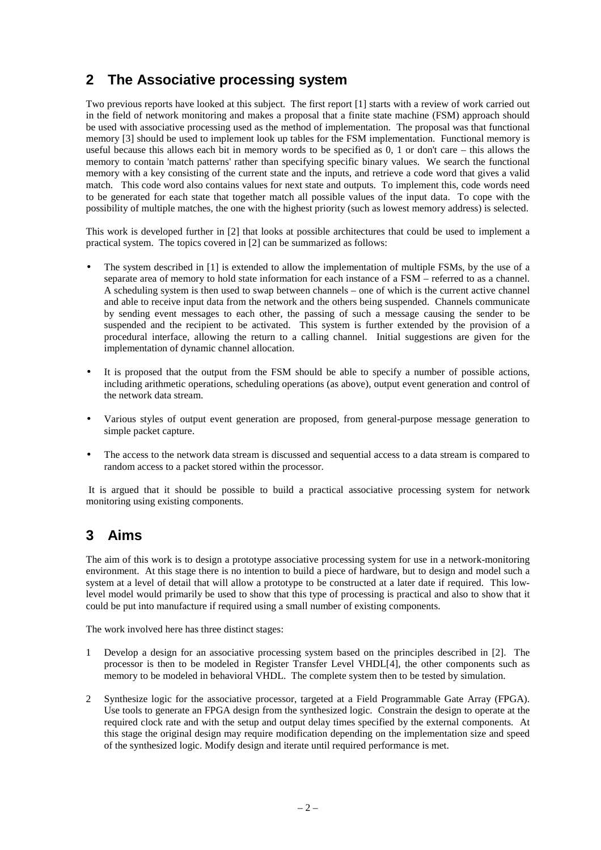# **2 The Associative processing system**

Two previous reports have looked at this subject. The first report [1] starts with a review of work carried out in the field of network monitoring and makes a proposal that a finite state machine (FSM) approach should be used with associative processing used as the method of implementation. The proposal was that functional memory [3] should be used to implement look up tables for the FSM implementation. Functional memory is useful because this allows each bit in memory words to be specified as 0, 1 or don't care – this allows the memory to contain 'match patterns' rather than specifying specific binary values. We search the functional memory with a key consisting of the current state and the inputs, and retrieve a code word that gives a valid match. This code word also contains values for next state and outputs. To implement this, code words need to be generated for each state that together match all possible values of the input data. To cope with the possibility of multiple matches, the one with the highest priority (such as lowest memory address) is selected.

This work is developed further in [2] that looks at possible architectures that could be used to implement a practical system. The topics covered in [2] can be summarized as follows:

- The system described in [1] is extended to allow the implementation of multiple FSMs, by the use of a separate area of memory to hold state information for each instance of a FSM – referred to as a channel. A scheduling system is then used to swap between channels – one of which is the current active channel and able to receive input data from the network and the others being suspended. Channels communicate by sending event messages to each other, the passing of such a message causing the sender to be suspended and the recipient to be activated. This system is further extended by the provision of a procedural interface, allowing the return to a calling channel. Initial suggestions are given for the implementation of dynamic channel allocation.
- It is proposed that the output from the FSM should be able to specify a number of possible actions, including arithmetic operations, scheduling operations (as above), output event generation and control of the network data stream.
- Various styles of output event generation are proposed, from general-purpose message generation to simple packet capture.
- The access to the network data stream is discussed and sequential access to a data stream is compared to random access to a packet stored within the processor.

 It is argued that it should be possible to build a practical associative processing system for network monitoring using existing components.

# **3 Aims**

The aim of this work is to design a prototype associative processing system for use in a network-monitoring environment. At this stage there is no intention to build a piece of hardware, but to design and model such a system at a level of detail that will allow a prototype to be constructed at a later date if required. This lowlevel model would primarily be used to show that this type of processing is practical and also to show that it could be put into manufacture if required using a small number of existing components.

The work involved here has three distinct stages:

- 1 Develop a design for an associative processing system based on the principles described in [2]. The processor is then to be modeled in Register Transfer Level VHDL[4], the other components such as memory to be modeled in behavioral VHDL. The complete system then to be tested by simulation.
- 2 Synthesize logic for the associative processor, targeted at a Field Programmable Gate Array (FPGA). Use tools to generate an FPGA design from the synthesized logic. Constrain the design to operate at the required clock rate and with the setup and output delay times specified by the external components. At this stage the original design may require modification depending on the implementation size and speed of the synthesized logic. Modify design and iterate until required performance is met.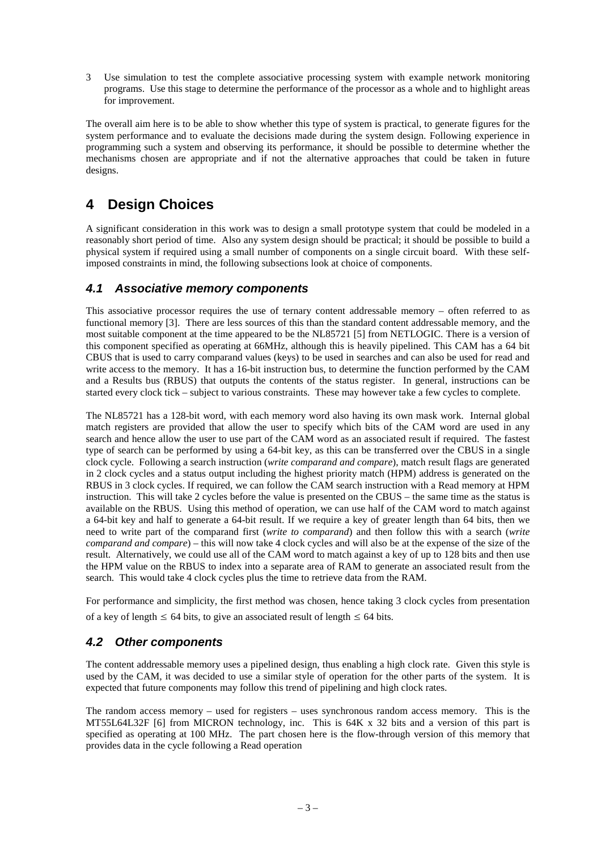3 Use simulation to test the complete associative processing system with example network monitoring programs. Use this stage to determine the performance of the processor as a whole and to highlight areas for improvement.

The overall aim here is to be able to show whether this type of system is practical, to generate figures for the system performance and to evaluate the decisions made during the system design. Following experience in programming such a system and observing its performance, it should be possible to determine whether the mechanisms chosen are appropriate and if not the alternative approaches that could be taken in future designs.

# **4 Design Choices**

A significant consideration in this work was to design a small prototype system that could be modeled in a reasonably short period of time. Also any system design should be practical; it should be possible to build a physical system if required using a small number of components on a single circuit board. With these selfimposed constraints in mind, the following subsections look at choice of components.

## **4.1 Associative memory components**

This associative processor requires the use of ternary content addressable memory – often referred to as functional memory [3]. There are less sources of this than the standard content addressable memory, and the most suitable component at the time appeared to be the NL85721 [5] from NETLOGIC. There is a version of this component specified as operating at 66MHz, although this is heavily pipelined. This CAM has a 64 bit CBUS that is used to carry comparand values (keys) to be used in searches and can also be used for read and write access to the memory. It has a 16-bit instruction bus, to determine the function performed by the CAM and a Results bus (RBUS) that outputs the contents of the status register. In general, instructions can be started every clock tick – subject to various constraints. These may however take a few cycles to complete.

The NL85721 has a 128-bit word, with each memory word also having its own mask work. Internal global match registers are provided that allow the user to specify which bits of the CAM word are used in any search and hence allow the user to use part of the CAM word as an associated result if required. The fastest type of search can be performed by using a 64-bit key, as this can be transferred over the CBUS in a single clock cycle. Following a search instruction (*write comparand and compare*), match result flags are generated in 2 clock cycles and a status output including the highest priority match (HPM) address is generated on the RBUS in 3 clock cycles. If required, we can follow the CAM search instruction with a Read memory at HPM instruction. This will take 2 cycles before the value is presented on the CBUS – the same time as the status is available on the RBUS. Using this method of operation, we can use half of the CAM word to match against a 64-bit key and half to generate a 64-bit result. If we require a key of greater length than 64 bits, then we need to write part of the comparand first (*write to comparand*) and then follow this with a search (*write comparand and compare*) – this will now take 4 clock cycles and will also be at the expense of the size of the result. Alternatively, we could use all of the CAM word to match against a key of up to 128 bits and then use the HPM value on the RBUS to index into a separate area of RAM to generate an associated result from the search. This would take 4 clock cycles plus the time to retrieve data from the RAM.

For performance and simplicity, the first method was chosen, hence taking 3 clock cycles from presentation of a key of length  $\leq 64$  bits, to give an associated result of length  $\leq 64$  bits.

## **4.2 Other components**

The content addressable memory uses a pipelined design, thus enabling a high clock rate. Given this style is used by the CAM, it was decided to use a similar style of operation for the other parts of the system. It is expected that future components may follow this trend of pipelining and high clock rates.

The random access memory – used for registers – uses synchronous random access memory. This is the MT55L64L32F [6] from MICRON technology, inc. This is 64K x 32 bits and a version of this part is specified as operating at 100 MHz. The part chosen here is the flow-through version of this memory that provides data in the cycle following a Read operation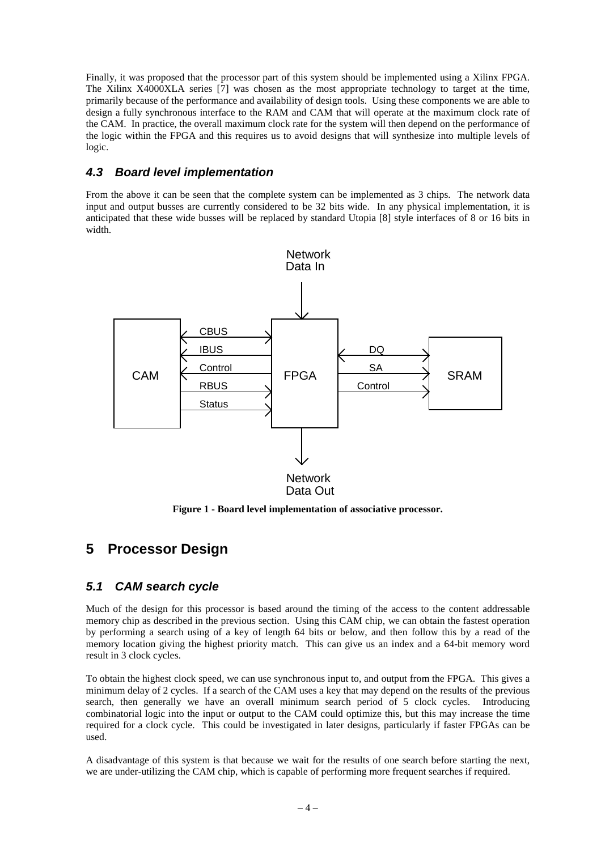Finally, it was proposed that the processor part of this system should be implemented using a Xilinx FPGA. The Xilinx X4000XLA series [7] was chosen as the most appropriate technology to target at the time, primarily because of the performance and availability of design tools. Using these components we are able to design a fully synchronous interface to the RAM and CAM that will operate at the maximum clock rate of the CAM. In practice, the overall maximum clock rate for the system will then depend on the performance of the logic within the FPGA and this requires us to avoid designs that will synthesize into multiple levels of logic.

## **4.3 Board level implementation**

From the above it can be seen that the complete system can be implemented as 3 chips. The network data input and output busses are currently considered to be 32 bits wide. In any physical implementation, it is anticipated that these wide busses will be replaced by standard Utopia [8] style interfaces of 8 or 16 bits in width.



**Figure 1 - Board level implementation of associative processor.**

# **5 Processor Design**

## **5.1 CAM search cycle**

Much of the design for this processor is based around the timing of the access to the content addressable memory chip as described in the previous section. Using this CAM chip, we can obtain the fastest operation by performing a search using of a key of length 64 bits or below, and then follow this by a read of the memory location giving the highest priority match. This can give us an index and a 64-bit memory word result in 3 clock cycles.

To obtain the highest clock speed, we can use synchronous input to, and output from the FPGA. This gives a minimum delay of 2 cycles. If a search of the CAM uses a key that may depend on the results of the previous search, then generally we have an overall minimum search period of 5 clock cycles. Introducing combinatorial logic into the input or output to the CAM could optimize this, but this may increase the time required for a clock cycle. This could be investigated in later designs, particularly if faster FPGAs can be used.

A disadvantage of this system is that because we wait for the results of one search before starting the next, we are under-utilizing the CAM chip, which is capable of performing more frequent searches if required.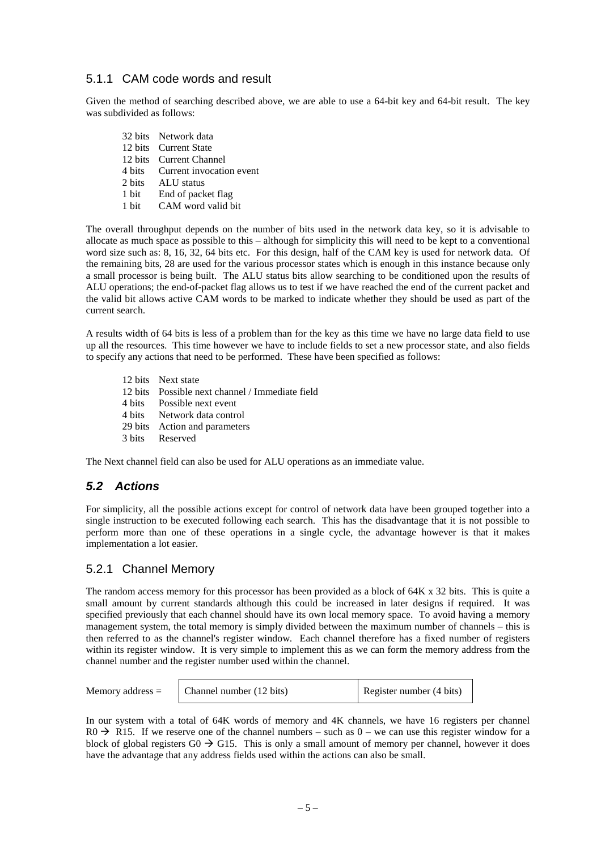#### 5.1.1 CAM code words and result

Given the method of searching described above, we are able to use a 64-bit key and 64-bit result. The key was subdivided as follows:

32 bits Network data 12 bits Current State 12 bits Current Channel 4 bits Current invocation event 2 bits ALU status<br>1 bit End of pack 1 bit End of packet flag<br>1 bit CAM word valid b CAM word valid bit

The overall throughput depends on the number of bits used in the network data key, so it is advisable to allocate as much space as possible to this – although for simplicity this will need to be kept to a conventional word size such as: 8, 16, 32, 64 bits etc. For this design, half of the CAM key is used for network data. Of the remaining bits, 28 are used for the various processor states which is enough in this instance because only a small processor is being built. The ALU status bits allow searching to be conditioned upon the results of ALU operations; the end-of-packet flag allows us to test if we have reached the end of the current packet and the valid bit allows active CAM words to be marked to indicate whether they should be used as part of the current search.

A results width of 64 bits is less of a problem than for the key as this time we have no large data field to use up all the resources. This time however we have to include fields to set a new processor state, and also fields to specify any actions that need to be performed. These have been specified as follows:

12 bits Next state 12 bits Possible next channel / Immediate field 4 bits Possible next event<br>4 bits Network data control Network data control 29 bits Action and parameters 3 bits Reserved

The Next channel field can also be used for ALU operations as an immediate value.

## **5.2 Actions**

For simplicity, all the possible actions except for control of network data have been grouped together into a single instruction to be executed following each search. This has the disadvantage that it is not possible to perform more than one of these operations in a single cycle, the advantage however is that it makes implementation a lot easier.

#### 5.2.1 Channel Memory

The random access memory for this processor has been provided as a block of 64K x 32 bits. This is quite a small amount by current standards although this could be increased in later designs if required. It was specified previously that each channel should have its own local memory space. To avoid having a memory management system, the total memory is simply divided between the maximum number of channels – this is then referred to as the channel's register window. Each channel therefore has a fixed number of registers within its register window. It is very simple to implement this as we can form the memory address from the channel number and the register number used within the channel.

| Memory address $=$ | Channel number (12 bits) | Register number (4 bits) |
|--------------------|--------------------------|--------------------------|
|                    |                          |                          |

In our system with a total of 64K words of memory and 4K channels, we have 16 registers per channel  $RO \rightarrow R15$ . If we reserve one of the channel numbers – such as 0 – we can use this register window for a block of global registers  $G0 \rightarrow G15$ . This is only a small amount of memory per channel, however it does have the advantage that any address fields used within the actions can also be small.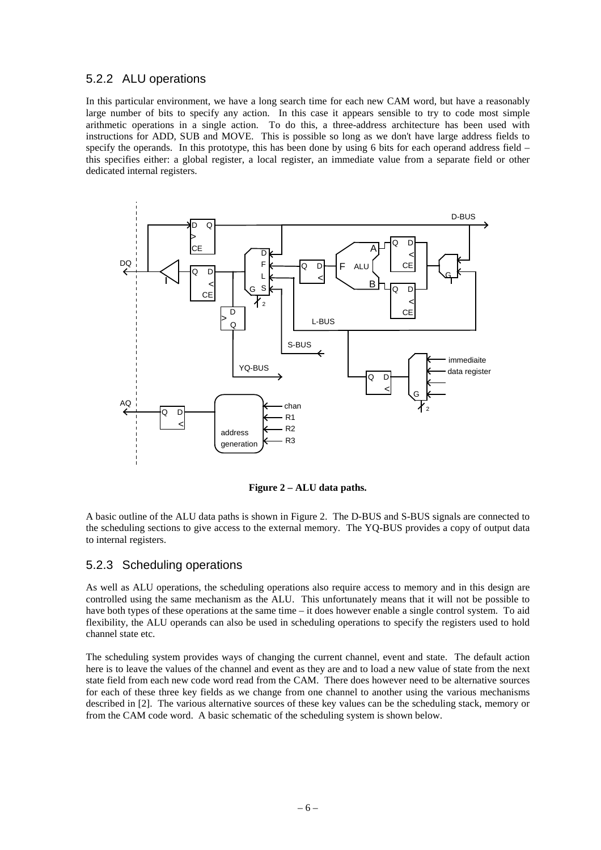#### 5.2.2 ALU operations

In this particular environment, we have a long search time for each new CAM word, but have a reasonably large number of bits to specify any action. In this case it appears sensible to try to code most simple arithmetic operations in a single action. To do this, a three-address architecture has been used with instructions for ADD, SUB and MOVE. This is possible so long as we don't have large address fields to specify the operands. In this prototype, this has been done by using 6 bits for each operand address field – this specifies either: a global register, a local register, an immediate value from a separate field or other dedicated internal registers.



**Figure 2 – ALU data paths.**

A basic outline of the ALU data paths is shown in Figure 2. The D-BUS and S-BUS signals are connected to the scheduling sections to give access to the external memory. The YQ-BUS provides a copy of output data to internal registers.

#### 5.2.3 Scheduling operations

As well as ALU operations, the scheduling operations also require access to memory and in this design are controlled using the same mechanism as the ALU. This unfortunately means that it will not be possible to have both types of these operations at the same time – it does however enable a single control system. To aid flexibility, the ALU operands can also be used in scheduling operations to specify the registers used to hold channel state etc.

The scheduling system provides ways of changing the current channel, event and state. The default action here is to leave the values of the channel and event as they are and to load a new value of state from the next state field from each new code word read from the CAM. There does however need to be alternative sources for each of these three key fields as we change from one channel to another using the various mechanisms described in [2]. The various alternative sources of these key values can be the scheduling stack, memory or from the CAM code word. A basic schematic of the scheduling system is shown below.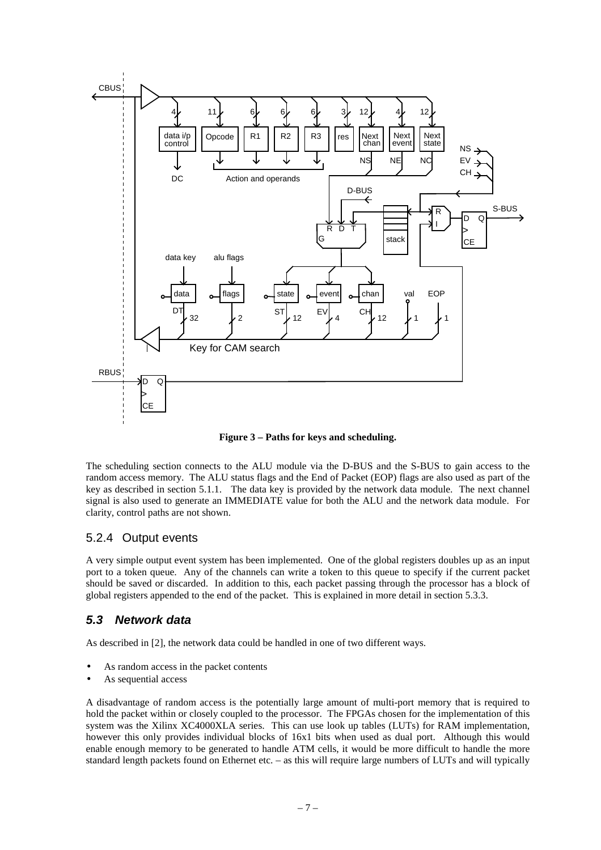

**Figure 3 – Paths for keys and scheduling.**

The scheduling section connects to the ALU module via the D-BUS and the S-BUS to gain access to the random access memory. The ALU status flags and the End of Packet (EOP) flags are also used as part of the key as described in section 5.1.1. The data key is provided by the network data module. The next channel signal is also used to generate an IMMEDIATE value for both the ALU and the network data module. For clarity, control paths are not shown.

## 5.2.4 Output events

A very simple output event system has been implemented. One of the global registers doubles up as an input port to a token queue. Any of the channels can write a token to this queue to specify if the current packet should be saved or discarded. In addition to this, each packet passing through the processor has a block of global registers appended to the end of the packet. This is explained in more detail in section 5.3.3.

## **5.3 Network data**

As described in [2], the network data could be handled in one of two different ways.

- As random access in the packet contents
- As sequential access

A disadvantage of random access is the potentially large amount of multi-port memory that is required to hold the packet within or closely coupled to the processor. The FPGAs chosen for the implementation of this system was the Xilinx XC4000XLA series. This can use look up tables (LUTs) for RAM implementation, however this only provides individual blocks of 16x1 bits when used as dual port. Although this would enable enough memory to be generated to handle ATM cells, it would be more difficult to handle the more standard length packets found on Ethernet etc. – as this will require large numbers of LUTs and will typically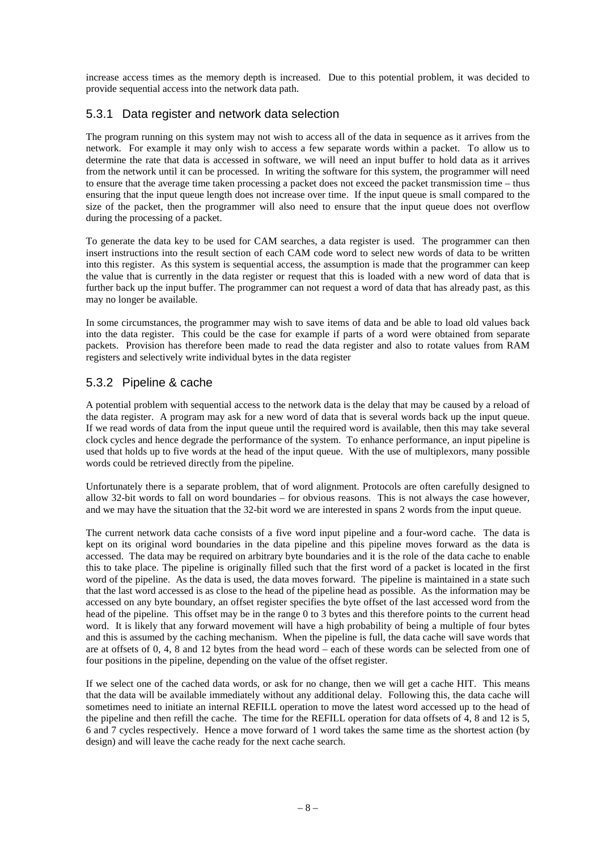increase access times as the memory depth is increased. Due to this potential problem, it was decided to provide sequential access into the network data path.

### 5.3.1 Data register and network data selection

The program running on this system may not wish to access all of the data in sequence as it arrives from the network. For example it may only wish to access a few separate words within a packet. To allow us to determine the rate that data is accessed in software, we will need an input buffer to hold data as it arrives from the network until it can be processed. In writing the software for this system, the programmer will need to ensure that the average time taken processing a packet does not exceed the packet transmission time – thus ensuring that the input queue length does not increase over time. If the input queue is small compared to the size of the packet, then the programmer will also need to ensure that the input queue does not overflow during the processing of a packet.

To generate the data key to be used for CAM searches, a data register is used. The programmer can then insert instructions into the result section of each CAM code word to select new words of data to be written into this register. As this system is sequential access, the assumption is made that the programmer can keep the value that is currently in the data register or request that this is loaded with a new word of data that is further back up the input buffer. The programmer can not request a word of data that has already past, as this may no longer be available.

In some circumstances, the programmer may wish to save items of data and be able to load old values back into the data register. This could be the case for example if parts of a word were obtained from separate packets. Provision has therefore been made to read the data register and also to rotate values from RAM registers and selectively write individual bytes in the data register

## 5.3.2 Pipeline & cache

A potential problem with sequential access to the network data is the delay that may be caused by a reload of the data register. A program may ask for a new word of data that is several words back up the input queue. If we read words of data from the input queue until the required word is available, then this may take several clock cycles and hence degrade the performance of the system. To enhance performance, an input pipeline is used that holds up to five words at the head of the input queue. With the use of multiplexors, many possible words could be retrieved directly from the pipeline.

Unfortunately there is a separate problem, that of word alignment. Protocols are often carefully designed to allow 32-bit words to fall on word boundaries – for obvious reasons. This is not always the case however, and we may have the situation that the 32-bit word we are interested in spans 2 words from the input queue.

The current network data cache consists of a five word input pipeline and a four-word cache. The data is kept on its original word boundaries in the data pipeline and this pipeline moves forward as the data is accessed. The data may be required on arbitrary byte boundaries and it is the role of the data cache to enable this to take place. The pipeline is originally filled such that the first word of a packet is located in the first word of the pipeline. As the data is used, the data moves forward. The pipeline is maintained in a state such that the last word accessed is as close to the head of the pipeline head as possible. As the information may be accessed on any byte boundary, an offset register specifies the byte offset of the last accessed word from the head of the pipeline. This offset may be in the range 0 to 3 bytes and this therefore points to the current head word. It is likely that any forward movement will have a high probability of being a multiple of four bytes and this is assumed by the caching mechanism. When the pipeline is full, the data cache will save words that are at offsets of 0, 4, 8 and 12 bytes from the head word – each of these words can be selected from one of four positions in the pipeline, depending on the value of the offset register.

If we select one of the cached data words, or ask for no change, then we will get a cache HIT. This means that the data will be available immediately without any additional delay. Following this, the data cache will sometimes need to initiate an internal REFILL operation to move the latest word accessed up to the head of the pipeline and then refill the cache. The time for the REFILL operation for data offsets of 4, 8 and 12 is 5, 6 and 7 cycles respectively. Hence a move forward of 1 word takes the same time as the shortest action (by design) and will leave the cache ready for the next cache search.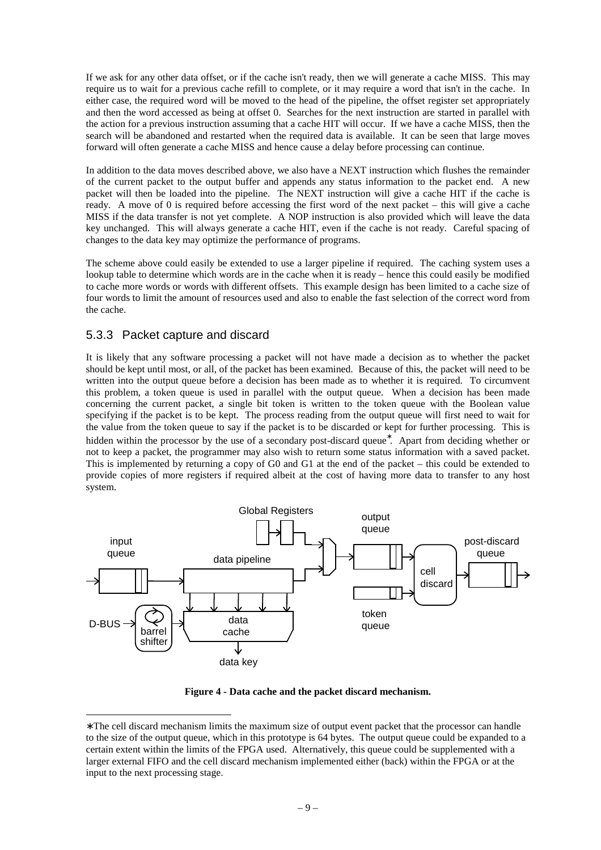If we ask for any other data offset, or if the cache isn't ready, then we will generate a cache MISS. This may require us to wait for a previous cache refill to complete, or it may require a word that isn't in the cache. In either case, the required word will be moved to the head of the pipeline, the offset register set appropriately and then the word accessed as being at offset 0. Searches for the next instruction are started in parallel with the action for a previous instruction assuming that a cache HIT will occur. If we have a cache MISS, then the search will be abandoned and restarted when the required data is available. It can be seen that large moves forward will often generate a cache MISS and hence cause a delay before processing can continue.

In addition to the data moves described above, we also have a NEXT instruction which flushes the remainder of the current packet to the output buffer and appends any status information to the packet end. A new packet will then be loaded into the pipeline. The NEXT instruction will give a cache HIT if the cache is ready. A move of 0 is required before accessing the first word of the next packet – this will give a cache MISS if the data transfer is not yet complete. A NOP instruction is also provided which will leave the data key unchanged. This will always generate a cache HIT, even if the cache is not ready. Careful spacing of changes to the data key may optimize the performance of programs.

The scheme above could easily be extended to use a larger pipeline if required. The caching system uses a lookup table to determine which words are in the cache when it is ready – hence this could easily be modified to cache more words or words with different offsets. This example design has been limited to a cache size of four words to limit the amount of resources used and also to enable the fast selection of the correct word from the cache.

### 5.3.3 Packet capture and discard

-

It is likely that any software processing a packet will not have made a decision as to whether the packet should be kept until most, or all, of the packet has been examined. Because of this, the packet will need to be written into the output queue before a decision has been made as to whether it is required. To circumvent this problem, a token queue is used in parallel with the output queue. When a decision has been made concerning the current packet, a single bit token is written to the token queue with the Boolean value specifying if the packet is to be kept. The process reading from the output queue will first need to wait for the value from the token queue to say if the packet is to be discarded or kept for further processing. This is hidden within the processor by the use of a secondary post-discard queue<sup>\*</sup>. Apart from deciding whether or not to keep a packet, the programmer may also wish to return some status information with a saved packet. This is implemented by returning a copy of G0 and G1 at the end of the packet – this could be extended to provide copies of more registers if required albeit at the cost of having more data to transfer to any host system.



**Figure 4 - Data cache and the packet discard mechanism.**

<sup>∗</sup> The cell discard mechanism limits the maximum size of output event packet that the processor can handle to the size of the output queue, which in this prototype is 64 bytes. The output queue could be expanded to a certain extent within the limits of the FPGA used. Alternatively, this queue could be supplemented with a larger external FIFO and the cell discard mechanism implemented either (back) within the FPGA or at the input to the next processing stage.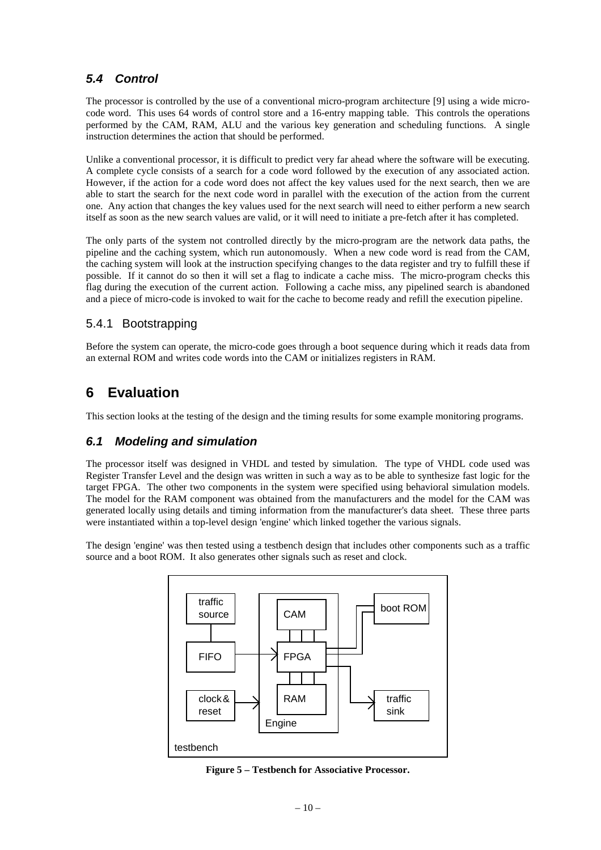# **5.4 Control**

The processor is controlled by the use of a conventional micro-program architecture [9] using a wide microcode word. This uses 64 words of control store and a 16-entry mapping table. This controls the operations performed by the CAM, RAM, ALU and the various key generation and scheduling functions. A single instruction determines the action that should be performed.

Unlike a conventional processor, it is difficult to predict very far ahead where the software will be executing. A complete cycle consists of a search for a code word followed by the execution of any associated action. However, if the action for a code word does not affect the key values used for the next search, then we are able to start the search for the next code word in parallel with the execution of the action from the current one. Any action that changes the key values used for the next search will need to either perform a new search itself as soon as the new search values are valid, or it will need to initiate a pre-fetch after it has completed.

The only parts of the system not controlled directly by the micro-program are the network data paths, the pipeline and the caching system, which run autonomously. When a new code word is read from the CAM, the caching system will look at the instruction specifying changes to the data register and try to fulfill these if possible. If it cannot do so then it will set a flag to indicate a cache miss. The micro-program checks this flag during the execution of the current action. Following a cache miss, any pipelined search is abandoned and a piece of micro-code is invoked to wait for the cache to become ready and refill the execution pipeline.

## 5.4.1 Bootstrapping

Before the system can operate, the micro-code goes through a boot sequence during which it reads data from an external ROM and writes code words into the CAM or initializes registers in RAM.

# **6 Evaluation**

This section looks at the testing of the design and the timing results for some example monitoring programs.

## **6.1 Modeling and simulation**

The processor itself was designed in VHDL and tested by simulation. The type of VHDL code used was Register Transfer Level and the design was written in such a way as to be able to synthesize fast logic for the target FPGA. The other two components in the system were specified using behavioral simulation models. The model for the RAM component was obtained from the manufacturers and the model for the CAM was generated locally using details and timing information from the manufacturer's data sheet. These three parts were instantiated within a top-level design 'engine' which linked together the various signals.

The design 'engine' was then tested using a testbench design that includes other components such as a traffic source and a boot ROM. It also generates other signals such as reset and clock.



**Figure 5 – Testbench for Associative Processor.**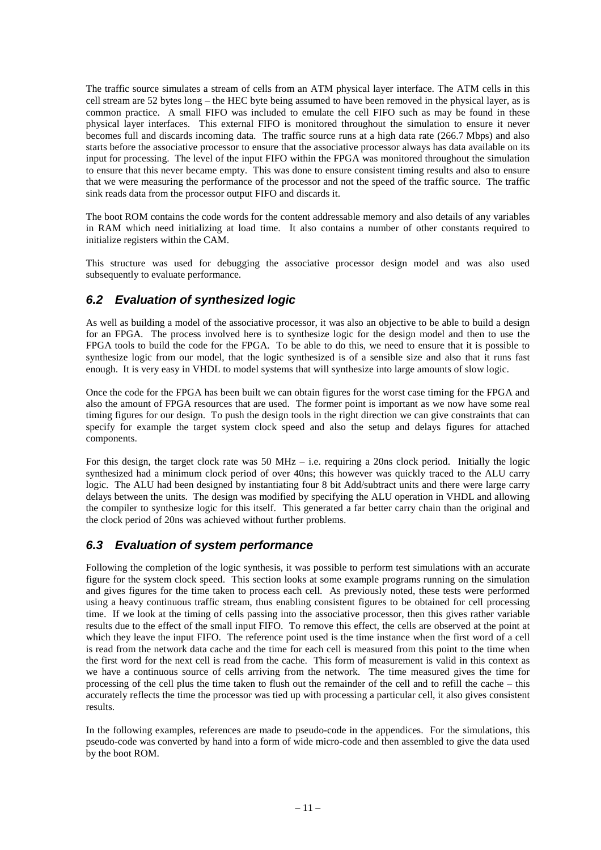The traffic source simulates a stream of cells from an ATM physical layer interface. The ATM cells in this cell stream are 52 bytes long – the HEC byte being assumed to have been removed in the physical layer, as is common practice. A small FIFO was included to emulate the cell FIFO such as may be found in these physical layer interfaces. This external FIFO is monitored throughout the simulation to ensure it never becomes full and discards incoming data. The traffic source runs at a high data rate (266.7 Mbps) and also starts before the associative processor to ensure that the associative processor always has data available on its input for processing. The level of the input FIFO within the FPGA was monitored throughout the simulation to ensure that this never became empty. This was done to ensure consistent timing results and also to ensure that we were measuring the performance of the processor and not the speed of the traffic source. The traffic sink reads data from the processor output FIFO and discards it.

The boot ROM contains the code words for the content addressable memory and also details of any variables in RAM which need initializing at load time. It also contains a number of other constants required to initialize registers within the CAM.

This structure was used for debugging the associative processor design model and was also used subsequently to evaluate performance.

## **6.2 Evaluation of synthesized logic**

As well as building a model of the associative processor, it was also an objective to be able to build a design for an FPGA. The process involved here is to synthesize logic for the design model and then to use the FPGA tools to build the code for the FPGA. To be able to do this, we need to ensure that it is possible to synthesize logic from our model, that the logic synthesized is of a sensible size and also that it runs fast enough. It is very easy in VHDL to model systems that will synthesize into large amounts of slow logic.

Once the code for the FPGA has been built we can obtain figures for the worst case timing for the FPGA and also the amount of FPGA resources that are used. The former point is important as we now have some real timing figures for our design. To push the design tools in the right direction we can give constraints that can specify for example the target system clock speed and also the setup and delays figures for attached components.

For this design, the target clock rate was 50 MHz – i.e. requiring a 20ns clock period. Initially the logic synthesized had a minimum clock period of over 40ns; this however was quickly traced to the ALU carry logic. The ALU had been designed by instantiating four 8 bit Add/subtract units and there were large carry delays between the units. The design was modified by specifying the ALU operation in VHDL and allowing the compiler to synthesize logic for this itself. This generated a far better carry chain than the original and the clock period of 20ns was achieved without further problems.

#### **6.3 Evaluation of system performance**

Following the completion of the logic synthesis, it was possible to perform test simulations with an accurate figure for the system clock speed. This section looks at some example programs running on the simulation and gives figures for the time taken to process each cell. As previously noted, these tests were performed using a heavy continuous traffic stream, thus enabling consistent figures to be obtained for cell processing time. If we look at the timing of cells passing into the associative processor, then this gives rather variable results due to the effect of the small input FIFO. To remove this effect, the cells are observed at the point at which they leave the input FIFO. The reference point used is the time instance when the first word of a cell is read from the network data cache and the time for each cell is measured from this point to the time when the first word for the next cell is read from the cache. This form of measurement is valid in this context as we have a continuous source of cells arriving from the network. The time measured gives the time for processing of the cell plus the time taken to flush out the remainder of the cell and to refill the cache – this accurately reflects the time the processor was tied up with processing a particular cell, it also gives consistent results.

In the following examples, references are made to pseudo-code in the appendices. For the simulations, this pseudo-code was converted by hand into a form of wide micro-code and then assembled to give the data used by the boot ROM.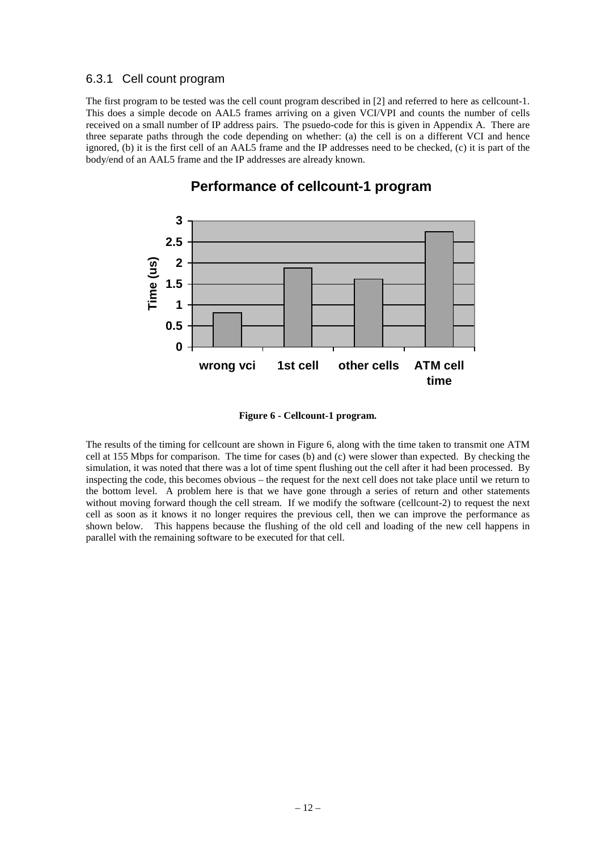#### 6.3.1 Cell count program

The first program to be tested was the cell count program described in [2] and referred to here as cellcount-1. This does a simple decode on AAL5 frames arriving on a given VCI/VPI and counts the number of cells received on a small number of IP address pairs. The psuedo-code for this is given in Appendix A. There are three separate paths through the code depending on whether: (a) the cell is on a different VCI and hence ignored, (b) it is the first cell of an AAL5 frame and the IP addresses need to be checked, (c) it is part of the body/end of an AAL5 frame and the IP addresses are already known.



# **Performance of cellcount-1 program**

**Figure 6 - Cellcount-1 program.**

The results of the timing for cellcount are shown in Figure 6, along with the time taken to transmit one ATM cell at 155 Mbps for comparison. The time for cases (b) and (c) were slower than expected. By checking the simulation, it was noted that there was a lot of time spent flushing out the cell after it had been processed. By inspecting the code, this becomes obvious – the request for the next cell does not take place until we return to the bottom level. A problem here is that we have gone through a series of return and other statements without moving forward though the cell stream. If we modify the software (cellcount-2) to request the next cell as soon as it knows it no longer requires the previous cell, then we can improve the performance as shown below. This happens because the flushing of the old cell and loading of the new cell happens in parallel with the remaining software to be executed for that cell.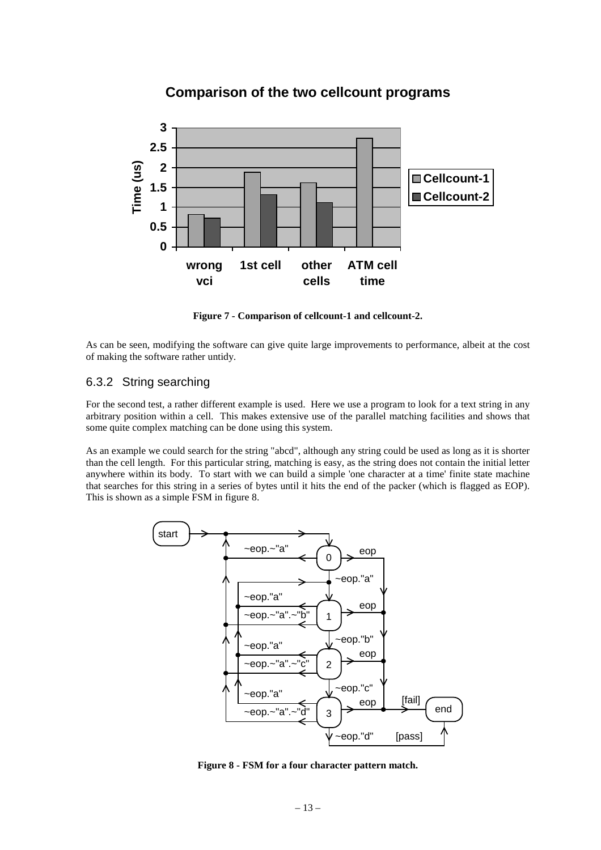## **Comparison of the two cellcount programs**

![](_page_12_Figure_1.jpeg)

**Figure 7 - Comparison of cellcount-1 and cellcount-2.**

As can be seen, modifying the software can give quite large improvements to performance, albeit at the cost of making the software rather untidy.

#### 6.3.2 String searching

For the second test, a rather different example is used. Here we use a program to look for a text string in any arbitrary position within a cell. This makes extensive use of the parallel matching facilities and shows that some quite complex matching can be done using this system.

As an example we could search for the string "abcd", although any string could be used as long as it is shorter than the cell length. For this particular string, matching is easy, as the string does not contain the initial letter anywhere within its body. To start with we can build a simple 'one character at a time' finite state machine that searches for this string in a series of bytes until it hits the end of the packer (which is flagged as EOP). This is shown as a simple FSM in figure 8.

![](_page_12_Figure_7.jpeg)

**Figure 8 - FSM for a four character pattern match.**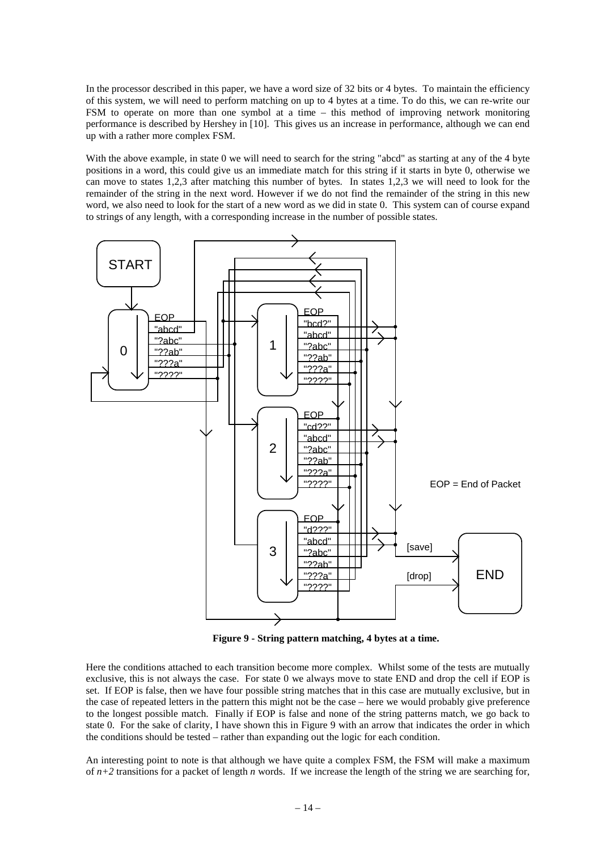In the processor described in this paper, we have a word size of 32 bits or 4 bytes. To maintain the efficiency of this system, we will need to perform matching on up to 4 bytes at a time. To do this, we can re-write our FSM to operate on more than one symbol at a time – this method of improving network monitoring performance is described by Hershey in [10]. This gives us an increase in performance, although we can end up with a rather more complex FSM.

With the above example, in state 0 we will need to search for the string "abcd" as starting at any of the 4 byte positions in a word, this could give us an immediate match for this string if it starts in byte 0, otherwise we can move to states 1,2,3 after matching this number of bytes. In states 1,2,3 we will need to look for the remainder of the string in the next word. However if we do not find the remainder of the string in this new word, we also need to look for the start of a new word as we did in state 0. This system can of course expand to strings of any length, with a corresponding increase in the number of possible states.

![](_page_13_Figure_2.jpeg)

**Figure 9 - String pattern matching, 4 bytes at a time.**

Here the conditions attached to each transition become more complex. Whilst some of the tests are mutually exclusive, this is not always the case. For state 0 we always move to state END and drop the cell if EOP is set. If EOP is false, then we have four possible string matches that in this case are mutually exclusive, but in the case of repeated letters in the pattern this might not be the case – here we would probably give preference to the longest possible match. Finally if EOP is false and none of the string patterns match, we go back to state 0. For the sake of clarity, I have shown this in Figure 9 with an arrow that indicates the order in which the conditions should be tested – rather than expanding out the logic for each condition.

An interesting point to note is that although we have quite a complex FSM, the FSM will make a maximum of  $n+2$  transitions for a packet of length  $n$  words. If we increase the length of the string we are searching for,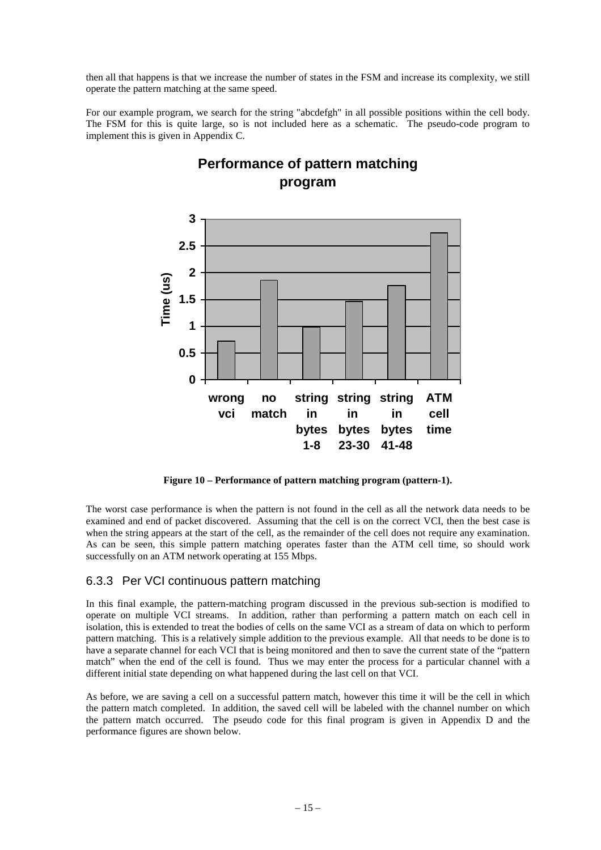then all that happens is that we increase the number of states in the FSM and increase its complexity, we still operate the pattern matching at the same speed.

For our example program, we search for the string "abcdefgh" in all possible positions within the cell body. The FSM for this is quite large, so is not included here as a schematic. The pseudo-code program to implement this is given in Appendix C.

![](_page_14_Figure_2.jpeg)

# **Performance of pattern matching program**

**Figure 10 – Performance of pattern matching program (pattern-1).**

The worst case performance is when the pattern is not found in the cell as all the network data needs to be examined and end of packet discovered. Assuming that the cell is on the correct VCI, then the best case is when the string appears at the start of the cell, as the remainder of the cell does not require any examination. As can be seen, this simple pattern matching operates faster than the ATM cell time, so should work successfully on an ATM network operating at 155 Mbps.

## 6.3.3 Per VCI continuous pattern matching

In this final example, the pattern-matching program discussed in the previous sub-section is modified to operate on multiple VCI streams. In addition, rather than performing a pattern match on each cell in isolation, this is extended to treat the bodies of cells on the same VCI as a stream of data on which to perform pattern matching. This is a relatively simple addition to the previous example. All that needs to be done is to have a separate channel for each VCI that is being monitored and then to save the current state of the "pattern match" when the end of the cell is found. Thus we may enter the process for a particular channel with a different initial state depending on what happened during the last cell on that VCI.

As before, we are saving a cell on a successful pattern match, however this time it will be the cell in which the pattern match completed. In addition, the saved cell will be labeled with the channel number on which the pattern match occurred. The pseudo code for this final program is given in Appendix D and the performance figures are shown below.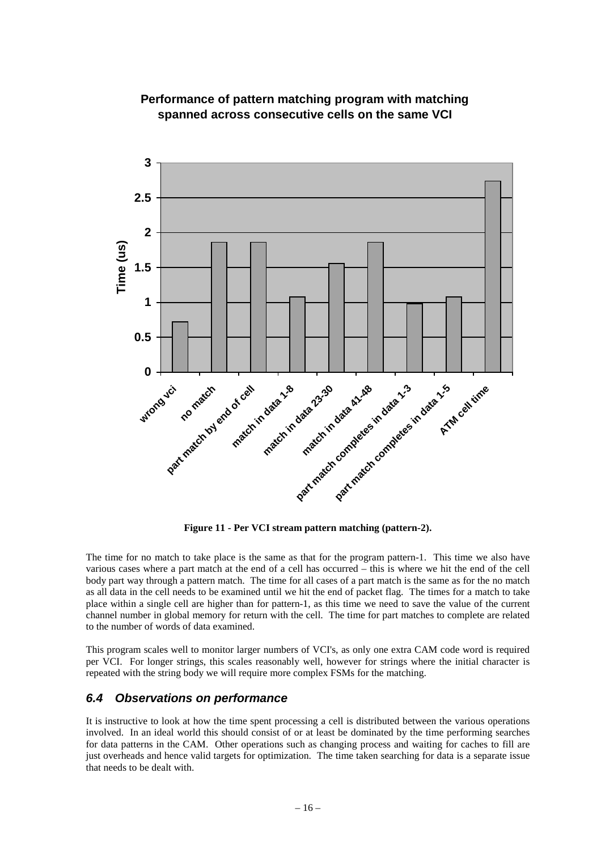![](_page_15_Figure_0.jpeg)

## **Performance of pattern matching program with matching spanned across consecutive cells on the same VCI**

**Figure 11 - Per VCI stream pattern matching (pattern-2).**

The time for no match to take place is the same as that for the program pattern-1. This time we also have various cases where a part match at the end of a cell has occurred – this is where we hit the end of the cell body part way through a pattern match. The time for all cases of a part match is the same as for the no match as all data in the cell needs to be examined until we hit the end of packet flag. The times for a match to take place within a single cell are higher than for pattern-1, as this time we need to save the value of the current channel number in global memory for return with the cell. The time for part matches to complete are related to the number of words of data examined.

This program scales well to monitor larger numbers of VCI's, as only one extra CAM code word is required per VCI. For longer strings, this scales reasonably well, however for strings where the initial character is repeated with the string body we will require more complex FSMs for the matching.

## **6.4 Observations on performance**

It is instructive to look at how the time spent processing a cell is distributed between the various operations involved. In an ideal world this should consist of or at least be dominated by the time performing searches for data patterns in the CAM. Other operations such as changing process and waiting for caches to fill are just overheads and hence valid targets for optimization. The time taken searching for data is a separate issue that needs to be dealt with.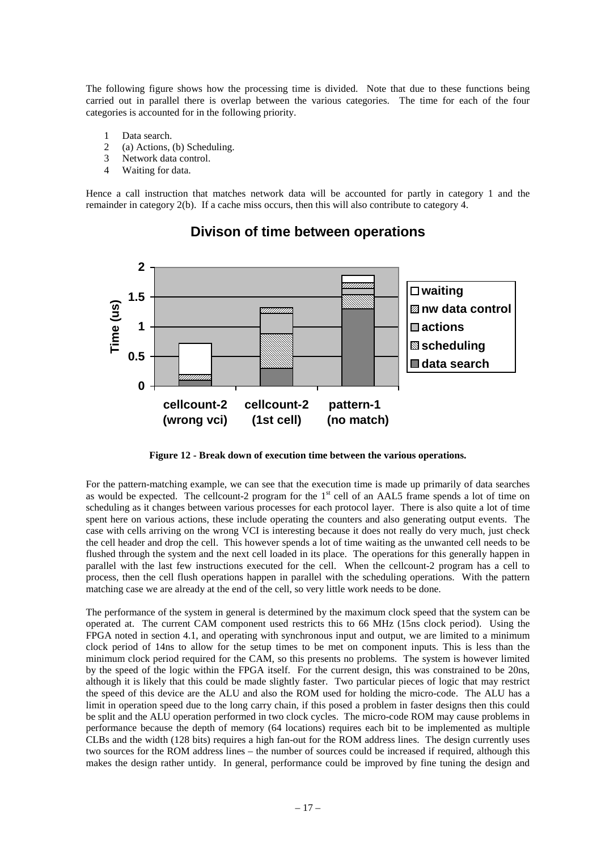The following figure shows how the processing time is divided. Note that due to these functions being carried out in parallel there is overlap between the various categories. The time for each of the four categories is accounted for in the following priority.

- 1 Data search.
- 2 (a) Actions, (b) Scheduling.
- 3 Network data control.
- 4 Waiting for data.

Hence a call instruction that matches network data will be accounted for partly in category 1 and the remainder in category 2(b). If a cache miss occurs, then this will also contribute to category 4.

![](_page_16_Figure_6.jpeg)

# **Divison of time between operations**

**Figure 12 - Break down of execution time between the various operations.**

For the pattern-matching example, we can see that the execution time is made up primarily of data searches as would be expected. The cellcount-2 program for the  $1<sup>st</sup>$  cell of an AAL5 frame spends a lot of time on scheduling as it changes between various processes for each protocol layer. There is also quite a lot of time spent here on various actions, these include operating the counters and also generating output events. The case with cells arriving on the wrong VCI is interesting because it does not really do very much, just check the cell header and drop the cell. This however spends a lot of time waiting as the unwanted cell needs to be flushed through the system and the next cell loaded in its place. The operations for this generally happen in parallel with the last few instructions executed for the cell. When the cellcount-2 program has a cell to process, then the cell flush operations happen in parallel with the scheduling operations. With the pattern matching case we are already at the end of the cell, so very little work needs to be done.

The performance of the system in general is determined by the maximum clock speed that the system can be operated at. The current CAM component used restricts this to 66 MHz (15ns clock period). Using the FPGA noted in section 4.1, and operating with synchronous input and output, we are limited to a minimum clock period of 14ns to allow for the setup times to be met on component inputs. This is less than the minimum clock period required for the CAM, so this presents no problems. The system is however limited by the speed of the logic within the FPGA itself. For the current design, this was constrained to be 20ns, although it is likely that this could be made slightly faster. Two particular pieces of logic that may restrict the speed of this device are the ALU and also the ROM used for holding the micro-code. The ALU has a limit in operation speed due to the long carry chain, if this posed a problem in faster designs then this could be split and the ALU operation performed in two clock cycles. The micro-code ROM may cause problems in performance because the depth of memory (64 locations) requires each bit to be implemented as multiple CLBs and the width (128 bits) requires a high fan-out for the ROM address lines. The design currently uses two sources for the ROM address lines – the number of sources could be increased if required, although this makes the design rather untidy. In general, performance could be improved by fine tuning the design and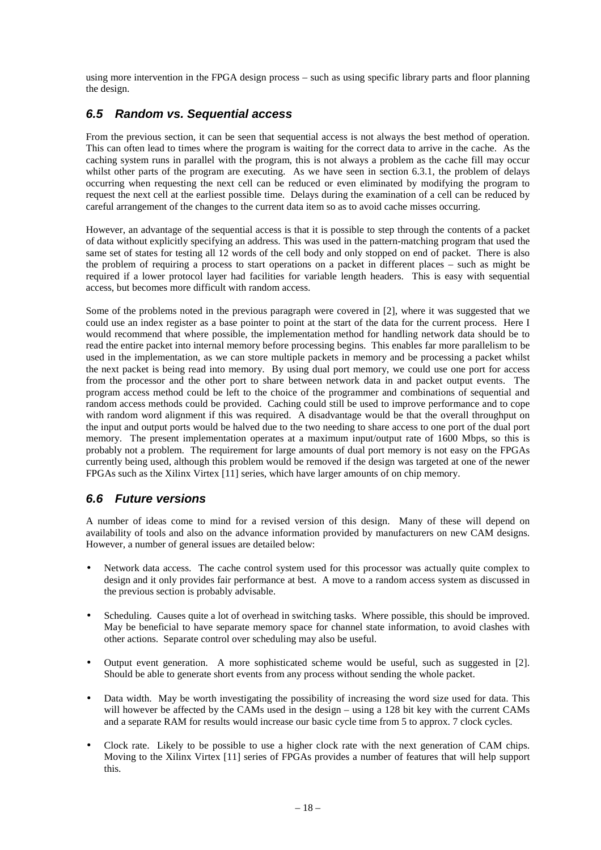using more intervention in the FPGA design process – such as using specific library parts and floor planning the design.

## **6.5 Random vs. Sequential access**

From the previous section, it can be seen that sequential access is not always the best method of operation. This can often lead to times where the program is waiting for the correct data to arrive in the cache. As the caching system runs in parallel with the program, this is not always a problem as the cache fill may occur whilst other parts of the program are executing. As we have seen in section 6.3.1, the problem of delays occurring when requesting the next cell can be reduced or even eliminated by modifying the program to request the next cell at the earliest possible time. Delays during the examination of a cell can be reduced by careful arrangement of the changes to the current data item so as to avoid cache misses occurring.

However, an advantage of the sequential access is that it is possible to step through the contents of a packet of data without explicitly specifying an address. This was used in the pattern-matching program that used the same set of states for testing all 12 words of the cell body and only stopped on end of packet. There is also the problem of requiring a process to start operations on a packet in different places – such as might be required if a lower protocol layer had facilities for variable length headers. This is easy with sequential access, but becomes more difficult with random access.

Some of the problems noted in the previous paragraph were covered in [2], where it was suggested that we could use an index register as a base pointer to point at the start of the data for the current process. Here I would recommend that where possible, the implementation method for handling network data should be to read the entire packet into internal memory before processing begins. This enables far more parallelism to be used in the implementation, as we can store multiple packets in memory and be processing a packet whilst the next packet is being read into memory. By using dual port memory, we could use one port for access from the processor and the other port to share between network data in and packet output events. The program access method could be left to the choice of the programmer and combinations of sequential and random access methods could be provided. Caching could still be used to improve performance and to cope with random word alignment if this was required. A disadvantage would be that the overall throughput on the input and output ports would be halved due to the two needing to share access to one port of the dual port memory. The present implementation operates at a maximum input/output rate of 1600 Mbps, so this is probably not a problem. The requirement for large amounts of dual port memory is not easy on the FPGAs currently being used, although this problem would be removed if the design was targeted at one of the newer FPGAs such as the Xilinx Virtex [11] series, which have larger amounts of on chip memory.

## **6.6 Future versions**

A number of ideas come to mind for a revised version of this design. Many of these will depend on availability of tools and also on the advance information provided by manufacturers on new CAM designs. However, a number of general issues are detailed below:

- Network data access. The cache control system used for this processor was actually quite complex to design and it only provides fair performance at best. A move to a random access system as discussed in the previous section is probably advisable.
- Scheduling. Causes quite a lot of overhead in switching tasks. Where possible, this should be improved. May be beneficial to have separate memory space for channel state information, to avoid clashes with other actions. Separate control over scheduling may also be useful.
- Output event generation. A more sophisticated scheme would be useful, such as suggested in [2]. Should be able to generate short events from any process without sending the whole packet.
- Data width. May be worth investigating the possibility of increasing the word size used for data. This will however be affected by the CAMs used in the design – using a 128 bit key with the current CAMs and a separate RAM for results would increase our basic cycle time from 5 to approx. 7 clock cycles.
- Clock rate. Likely to be possible to use a higher clock rate with the next generation of CAM chips. Moving to the Xilinx Virtex [11] series of FPGAs provides a number of features that will help support this.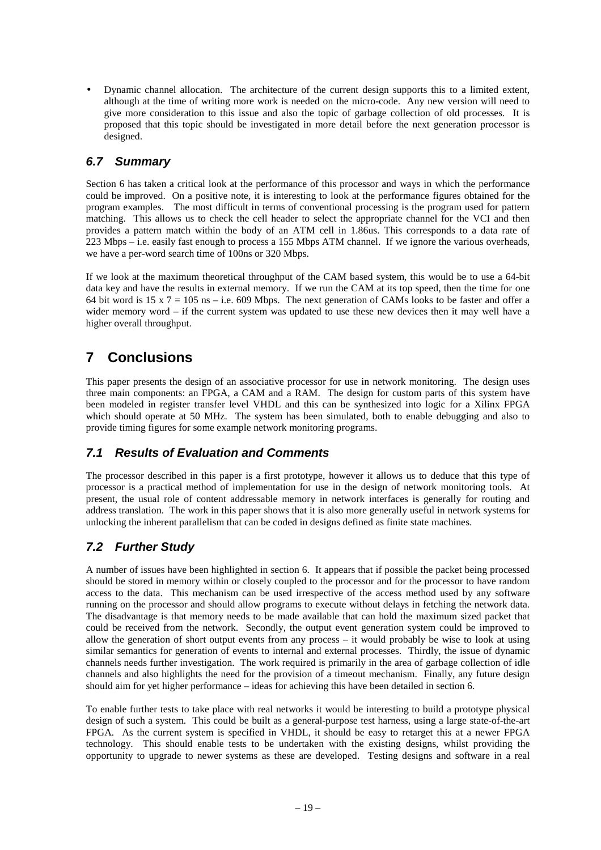• Dynamic channel allocation. The architecture of the current design supports this to a limited extent, although at the time of writing more work is needed on the micro-code. Any new version will need to give more consideration to this issue and also the topic of garbage collection of old processes. It is proposed that this topic should be investigated in more detail before the next generation processor is designed.

## **6.7 Summary**

Section 6 has taken a critical look at the performance of this processor and ways in which the performance could be improved. On a positive note, it is interesting to look at the performance figures obtained for the program examples. The most difficult in terms of conventional processing is the program used for pattern matching. This allows us to check the cell header to select the appropriate channel for the VCI and then provides a pattern match within the body of an ATM cell in 1.86us. This corresponds to a data rate of 223 Mbps – i.e. easily fast enough to process a 155 Mbps ATM channel. If we ignore the various overheads, we have a per-word search time of 100ns or 320 Mbps.

If we look at the maximum theoretical throughput of the CAM based system, this would be to use a 64-bit data key and have the results in external memory. If we run the CAM at its top speed, then the time for one 64 bit word is 15 x  $7 = 105$  ns – i.e. 609 Mbps. The next generation of CAMs looks to be faster and offer a wider memory word – if the current system was updated to use these new devices then it may well have a higher overall throughput.

# **7 Conclusions**

This paper presents the design of an associative processor for use in network monitoring. The design uses three main components: an FPGA, a CAM and a RAM. The design for custom parts of this system have been modeled in register transfer level VHDL and this can be synthesized into logic for a Xilinx FPGA which should operate at 50 MHz. The system has been simulated, both to enable debugging and also to provide timing figures for some example network monitoring programs.

## **7.1 Results of Evaluation and Comments**

The processor described in this paper is a first prototype, however it allows us to deduce that this type of processor is a practical method of implementation for use in the design of network monitoring tools. At present, the usual role of content addressable memory in network interfaces is generally for routing and address translation. The work in this paper shows that it is also more generally useful in network systems for unlocking the inherent parallelism that can be coded in designs defined as finite state machines.

# **7.2 Further Study**

A number of issues have been highlighted in section 6. It appears that if possible the packet being processed should be stored in memory within or closely coupled to the processor and for the processor to have random access to the data. This mechanism can be used irrespective of the access method used by any software running on the processor and should allow programs to execute without delays in fetching the network data. The disadvantage is that memory needs to be made available that can hold the maximum sized packet that could be received from the network. Secondly, the output event generation system could be improved to allow the generation of short output events from any process – it would probably be wise to look at using similar semantics for generation of events to internal and external processes. Thirdly, the issue of dynamic channels needs further investigation. The work required is primarily in the area of garbage collection of idle channels and also highlights the need for the provision of a timeout mechanism. Finally, any future design should aim for yet higher performance – ideas for achieving this have been detailed in section 6.

To enable further tests to take place with real networks it would be interesting to build a prototype physical design of such a system. This could be built as a general-purpose test harness, using a large state-of-the-art FPGA. As the current system is specified in VHDL, it should be easy to retarget this at a newer FPGA technology. This should enable tests to be undertaken with the existing designs, whilst providing the opportunity to upgrade to newer systems as these are developed. Testing designs and software in a real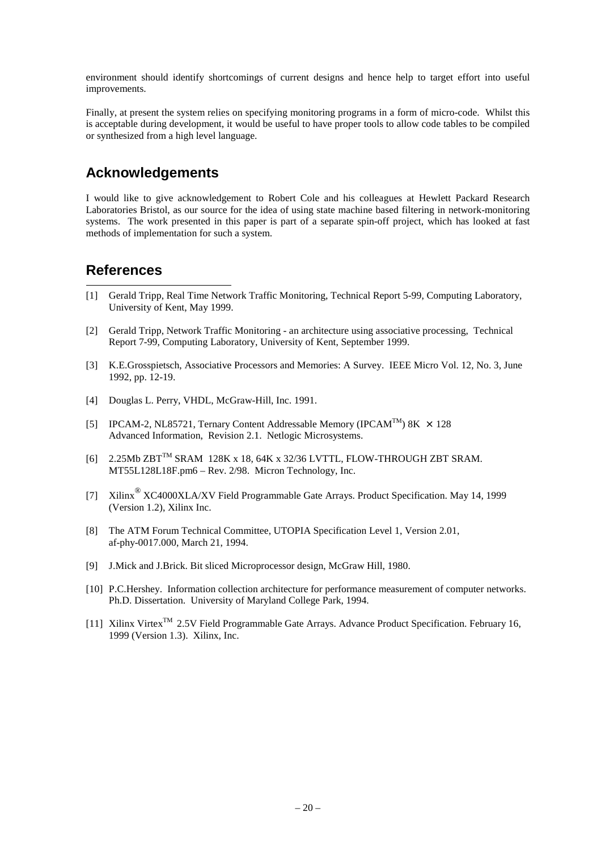environment should identify shortcomings of current designs and hence help to target effort into useful improvements.

Finally, at present the system relies on specifying monitoring programs in a form of micro-code. Whilst this is acceptable during development, it would be useful to have proper tools to allow code tables to be compiled or synthesized from a high level language.

# **Acknowledgements**

I would like to give acknowledgement to Robert Cole and his colleagues at Hewlett Packard Research Laboratories Bristol, as our source for the idea of using state machine based filtering in network-monitoring systems. The work presented in this paper is part of a separate spin-off project, which has looked at fast methods of implementation for such a system.

# **References**

-

- [1] Gerald Tripp, Real Time Network Traffic Monitoring, Technical Report 5-99, Computing Laboratory, University of Kent, May 1999.
- [2] Gerald Tripp, Network Traffic Monitoring an architecture using associative processing, Technical Report 7-99, Computing Laboratory, University of Kent, September 1999.
- [3] K.E.Grosspietsch, Associative Processors and Memories: A Survey. IEEE Micro Vol. 12, No. 3, June 1992, pp. 12-19.
- [4] Douglas L. Perry, VHDL, McGraw-Hill, Inc. 1991.
- [5] IPCAM-2, NL85721, Ternary Content Addressable Memory (IPCAM<sup>TM</sup>) 8K  $\times$  128 Advanced Information, Revision 2.1. Netlogic Microsystems.
- $[6]$  2.25Mb ZBT<sup>TM</sup> SRAM 128K x 18, 64K x 32/36 LVTTL, FLOW-THROUGH ZBT SRAM. MT55L128L18F.pm6 – Rev. 2/98. Micron Technology, Inc.
- [7] Xilinx<sup>®</sup> XC4000XLA/XV Field Programmable Gate Arrays. Product Specification. May 14, 1999 (Version 1.2), Xilinx Inc.
- [8] The ATM Forum Technical Committee, UTOPIA Specification Level 1, Version 2.01, af-phy-0017.000, March 21, 1994.
- [9] J.Mick and J.Brick. Bit sliced Microprocessor design, McGraw Hill, 1980.
- [10] P.C.Hershey. Information collection architecture for performance measurement of computer networks. Ph.D. Dissertation. University of Maryland College Park, 1994.
- [11] Xilinx Virtex<sup>TM</sup> 2.5V Field Programmable Gate Arrays. Advance Product Specification. February 16, 1999 (Version 1.3). Xilinx, Inc.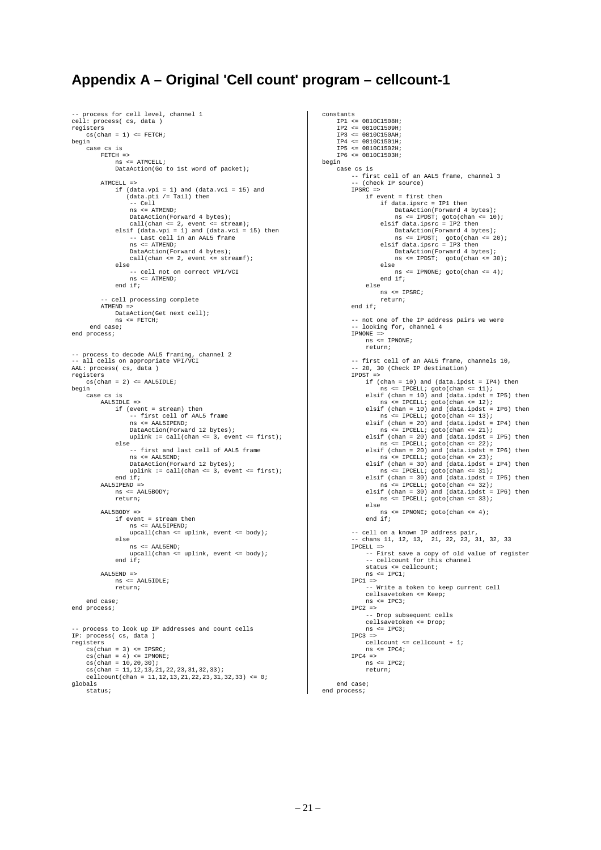# **Appendix A – Original 'Cell count' program – cellcount-1**

```
. process for cell level, channel 1
cell: process( cs, data )
registers
     \texttt{cs}(\texttt{chan} = 1) \iff \texttt{FETCH} ;
begin
      case cs is
 FETCH =>
 ns <= ATMCELL;
                DataAction(Go to 1st word of packet);
          ATMCRLI = 2 if (data.vpi = 1) and (data.vci = 15) and
 (data.pti /= Tail) then
 -- Cell
 ns <= ATMEND;
DataAction(Forward 4 bytes);<br>
call(chan <= 2, event <= stream);<br>
elsif (data.vpi = 1) and (data.vci = 15) then<br>
-- Last cell in an AAL5 frame
                     ns <= ATMEND;
                     DataAction(Forward 4 bytes);
                     call(chan <= 2, event <= streamf);
                else
                     .<br>-- cell not on correct VPI/VCI
                     ns <= ATMEND;
               end if f;
             cell processing complete
          ATMEND
               DataAction(Get next cell);
                    ns <= FETCH;
       end case;
end process;
-- process to decode AAL5 framing, channel 2
-- all cells on appropriate VPI/VCI
AAL: process( cs, data )
registers
     cs(char = 2) \leq \text{AAL5IDLE};begin
     ---<br>case cs is
           AAL5IDLE =>
                if (event = stream) then
                      -- first cell of AAL5 frame
                     ns <= AAL5IPEND;
 DataAction(Forward 12 bytes);
 uplink := call(chan <= 3, event <= first);
                else
                     .<br>-- first and last cell of AAL5 frame
                     ns <= AAL5END;
                     DataAction(Forward 12 bytes);
                    valueton(rorward is b)ccs);<br>uplink := call(chan <= 3, event <= first);
               and if:AAL5IPEND =>
              ns \leq \text{AAI}.\text{SRONY};
                return;
          AALEROOM =>
               if event = stream then
                     ns <= AAL5IPEND;
                     upcall(chan <= uplink, event <= body);
                else
                     ns <= AAL5END;
                     upcall(chan <= uplink, event <= body);
                end if;
           AAL5END =>
                ns <= AAL5IDLE;
                return;
      end case;
end process;
  -- process to look up IP addresses and count cells
IP: process( cs, data )
registers
     cs(char = 3) \leq IPSRC cs(chan = 4) <= IPNONE;
 cs(chan = 10,20,30);
 cs(chan = 11,12,13,21,22,23,31,32,33);
     cellcount(chan = 11,12,13,21,22,23,31,32,33) <= 0;
globals
      status;
```

```
constants
  IP1 <= 0810C1508H;
 IP2 <= 0810C1509H;
      TP3 <= 0810C150AH IP4 <= 0810C1501H;
      TP5 \le 0810C1502H IP6 <= 0810C1503H;
begin
     ---<br>case cs is
  -- first cell of an AAL5 frame, channel 3
 -- (check IP source)
            IPSRC =>
                 if event = first then
  if data.ipsrc = IP1 then
 DataAction(Forward 4 bytes);
  ns <= IPDST; goto(chan <= 10);
 elsif data.ipsrc = IP2 then
 DataAction(Forward 4 bytes);<br>
ns <= IPDST; goto(chan <= 20);<br>
elsif data.ipsrc = IP3 then
  DataAction(Forward 4 bytes);
 ns <= IPDST; goto(chan <= 30);
                       else
                             ns <= IPNONE; goto(chan <= 4);
                       end if;
                 else<br>ns <= IPSRC;
  ns <= IPSRC;
 return;
 end if;
            -- not one of the IP address pairs we were
               looking for, channel 4
  IPNONE =>
 ns <= IPNONE;
                 return;
            -- first cell of an AAL5 frame, channels 10,
                 -- 20, 30 (Check IP destination)
           TPPST = if (chan = 10) and (data.ipdst = IP4) then
 ns <= IPCELL; goto(chan <= 11);
 elsif (chan = 10) and (data.ipdst = IP5) then
 ns <= IPCELL; goto(chan <= 12);
 elsif (chan = 10) and (data.ipdst = IP6) then
                       ns <= IPCELL; goto(chan <= 13);
                 elsif (chan = 20) and (data.ipdst = IP4) then
  ns <= IPCELL; goto(chan <= 21);
 elsif (chan = 20) and (data.ipdst = IP5) then
  ns <= IPCELL; goto(chan <= 22);
 elsif (chan = 20) and (data.ipdst = IP6) then
                      ns \leq IPCELL; \phioto(chan \leq 23);
  elsif (chan = 30) and (data.ipdst = IP4) then
 ns <= IPCELL; goto(chan <= 31);
 elsif (chan = 30) and (data.ipdst = IP5) then<br>
ns <= IPCELL; goto(chan <= 32);<br>
elsif (chan = 30) and (data.ipdst = IP6) then<br>
ns <= IPCELL; goto(chan <= 33);
                 else
                      ns \leq IPNONE; goto(chan \leq 4);
                  end if;
            -- cell on a known IP address pair,
               chans 11, 12, 13, 21, 22, 23, 31, 32, 33
            IPCELL =>
  -- First save a copy of old value of register
 -- cellcount for this channel
 status <= cellcount;
                ns \leq IPC1;
           IPC1 =>
                  -- Write a token to keep current cell
                  cellsavetoken <= Keep;
                  ns <= IPC3;
  IPC2 =>
 -- Drop subsequent cells
                  cellsavetoken <= Drop;
                 ns \leq IPC3;IPC3 =>
                 cellcount <= cellcount + 1;
                 ns <= IPC4;
 \begin{aligned} \text{IPC4} & = > \\ \text{ns} & < = \text{IPC2}; \end{aligned} return;
       end case;
end process;
```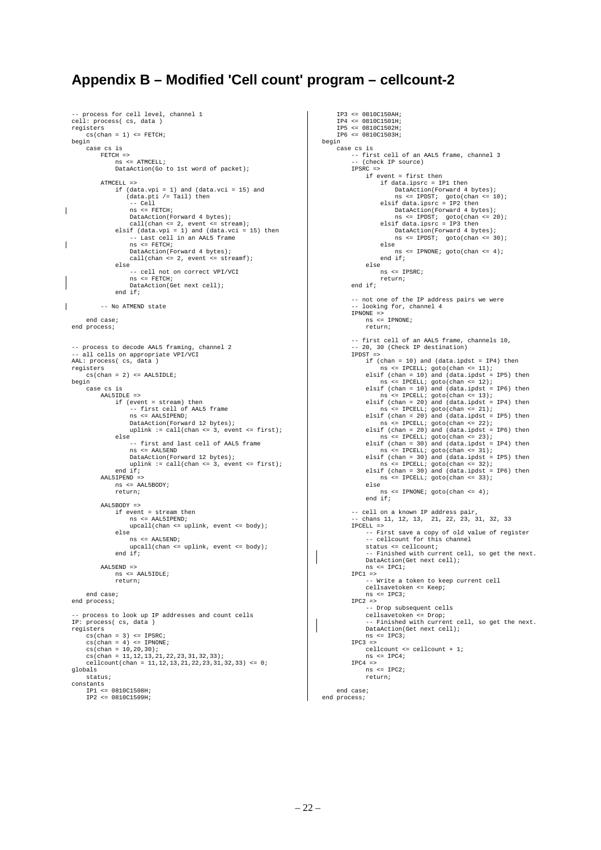# **Appendix B – Modified 'Cell count' program – cellcount-2**

```
. process for cell level, channel 1
cell: process( cs, data
registers
     cs(char = 1) \leq FETCH;begin
      case cs is
            FETCH =>
                 ns <= ATMCELL;
                 DataAction(Go to 1st word of packet);
           ATMCRLI = 2 if (data.vpi = 1) and (data.vci = 15) and
 (data.pti /= Tail) then
  -- Cell
 ns <= FETCH;
 DataAction(Forward 4 bytes);<br>
call(chan <= 2, event <= stream);<br>
elsif (data.vpi = 1) and (data.vci = 15) then<br>
-- Last cell in an AAL5 frame
                        ns <= FETCH;
                        DataAction(Forward 4 bytes);
                      call(chan <= 2, event <= streamf);
                  else
                        -- cell not on correct VPI/VCI
                       ns <= FETCH;
                        DataAction(Get next cell);
                 end if;
            -- No ATMEND state
       end case;
end process;
 -- process to decode AAL5 framing, channel 2
-- all cells on appropriate VPI/VCI
AAL: process( cs, data )
registers
      cs(chan = 2) <= AAL5IDLE;
begin
      case cs is
           AAL5IDLE =>
                  if (event = stream) then
                        -- first cell of AAL5 frame
                        ns <= AAL5IPEND;
                      DataAction(Forward 12 bytes);<br>uplink := call(chan <= 3, event <= first);
                       uplink := call(char \leq else
                        -- first and last cell of AAL5 frame
                        ns <= AAL5END
                       DataAction(Forward 12 bytes);
                        uplink := call(chan <= 3, event <= first);
                  end if;
            AAL5IPEND =>
                \begin{array}{lcl} \texttt{m} & \texttt{m} & \texttt{m} & \texttt{m} \\ \texttt{m} & \texttt{m} & \texttt{m} & \texttt{m} & \texttt{m} \\ \texttt{m} & \texttt{m} & \texttt{m} & \texttt{m} & \texttt{m} \end{array} return;
           AAL5BODY =>
                 if event = stream then
                       ns <= AAL5IPEND;
                       upcall(chan <= uplink, event <= body);
                  else
  ns <= AAL5END;
 upcall(chan <= uplink, event <= body);
 end if;
            AAL5END =>
                  ns <= AAL5IDLE;
                  return;
       end case;
end process;
-- process to look up IP addresses and count cells
     process( cs, data )
registers
     cs(char = 3) \leq IPSRC cs(chan = 4) <= IPNONE;
 cs(chan = 10,20,30);
 cs(chan = 11,12,13,21,22,23,31,32,33);
 cellcount(chan = 11,12,13,21,22,23,31,32,33) <= 0;
globals
       status;
constants
  IP1 <= 0810C1508H;
 IP2 <= 0810C1509H;
```
 $\overline{\phantom{a}}$ 

 $\mathbf{I}$ 

 $\mathbf{I}$ 

```
 IP3 <= 0810C150AH;
 IP4 <= 0810C1501H;
 IP5 <= 0810C1502H;
      IP6 <= 0810C1503H;
begin
     case cs is
 -- first cell of an AAL5 frame, channel 3
 -- (check IP source)
           IPSRC =>
                if event = first then
                     if data.ipsrc = IP1 then
                          DataAction(Forward 4 bytes);
ns <= IPDST; goto(chan <= 10);<br>elsif data.ipsrc = IP2 then<br>DataAction(Forward 4 bytes);
 ns <= IPDST; goto(chan <= 20);
 elsif data.ipsrc = IP3 then
 DataAction(Forward 4 bytes);
 ns <= IPDST; goto(chan <= 30);
                     else
                          ns <= IPNONE; goto(chan <= 4);
                     end if;
                else
                     ns <= IPSRC;
                    return;
           end if;
           -- not one of the IP address pairs we were
              not one of the if addi<br>looking for, channel 4
 IPNONE =>
 ns <= IPNONE;
                return;
           -- first cell of an AAL5 frame, channels 10,
          -- 20, 30 (Check IP destination)
           IPDST =>
               if (chan = 10) and (data.ipdst = IP4) then
 ns <= IPCELL; goto(chan <= 11);
 elsif (chan = 10) and (data.ipdst = IP5) then
 ns <= IPCELL; goto(chan <= 12);
 elsif (chan = 10) and (data.ipdst = IP6) then
                   ns <= IPCELL; goto(chan <= 13);<br>if (chan = 20) and (data.ipdst = IP4) then
 elsif (chan = 20) and (data.ipdst = IP4) then
 ns <= IPCELL; goto(chan <= 21);
                elsif (chan = 20) and (data.ipdst = IP5) then
                   ns <= IPCELL; goto(chan <= 22);<br>if (chan = 20) and (data.ipdst = IP6) then
 elsif (chan = 20) and (data.ipdst = IP6) then
 ns <= IPCELL; goto(chan <= 23);
 elsif (chan = 30) and (data.ipdst = IP4) then
 ns <= IPCELL; goto(chan <= 31);
                elsif (chan = 30) and (data.ipdst = IP5) then
 ns <= IPCELL; goto(chan <= 32);
 elsif (chan = 30) and (data.ipdst = IP6) then
                    ns <= IPCELL; goto(chan <= 33);
                else
                    ns <= IPNONE; goto(chan <= 4);
                end if;
 -- cell on a known IP address pair,
 -- chans 11, 12, 13, 21, 22, 23, 31, 32, 33
           IPCELL =>
                -- First save a copy of old value of register
 -- cellcount for this channel
 status <= cellcount;
                -- Finished with current cell, so get the next.
                DataAction(Get next cell);
                ns <= IPC1;
 IPC1 =>
 -- Write a token to keep current cell
                cellsavetoken <= Keep;
 ns <= IPC3;
 IPC2 =>
 -- Drop subsequent cells
 cellsavetoken <= Drop;
                -- Finished with current cell, so get the next.
                DataAction(Get next cell);
               ns <= IPC3;
          IPC3 =>
               cellcount <= cellcount + 1;
 ns <= IPC4;
 IPC4 =>
               ns <= IPC2;
                return;
      end case;
end process;
```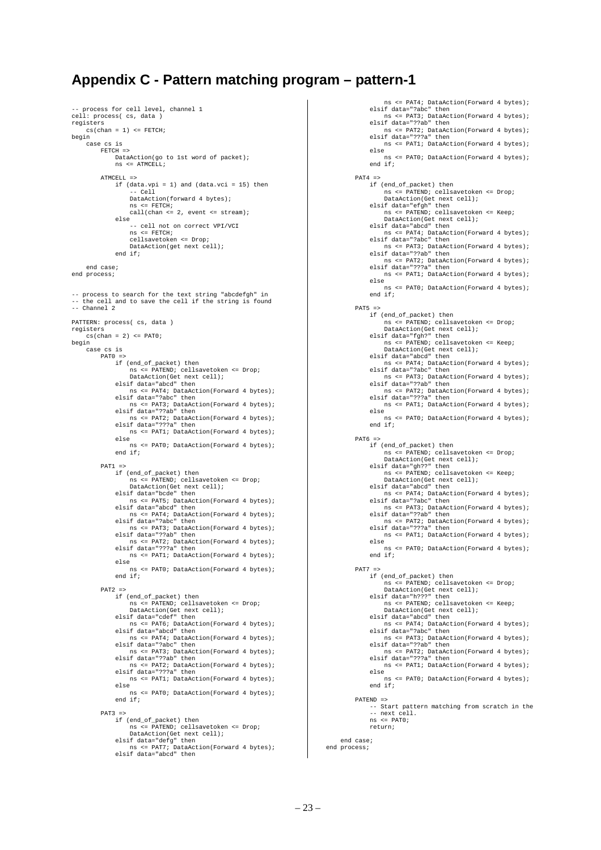## **Appendix C - Pattern matching program – pattern-1**

```
-- process for cell level, channel 1
cell: process( cs, data )
registers
     cs(char = 1) \leq FETCHbegin
     case cs is
          FETCH =>
              DataAction(go to 1st word of packet);
               ns <= ATMCELL;
          ATMCELL =>
              if (data.vpi = 1) and (data.vci = 15) then
                    -- Cell
                   DataAction(forward 4 bytes);
                  ns \leq FETCH;
                   call(chan <= 2, event <= stream);
 else
 -- cell not on correct VPI/VCI
 ns <= FETCH;
                   cellsavetoken <= Drop;
                   DataAction(get next cell);
               end if;
      end case;
end process;
  -- process to search for the text string "abcdefgh" in
   the cell and to save the cell if the string is found
-- Channel 2
PATTERN: process( cs, data )
registers
     cs(chan = 2) <= PAT0;
begin
     case cs is
         PAT<sub>0</sub>
               if (end_of_packet) then
 ns <= PATEND; cellsavetoken <= Drop;
 DataAction(Get next cell);
 elsif data="abcd" then
                      ns <= PAT4; DataAction(Forward 4 bytes);
               elsif data="?abc" then
                   ns <= PAT3; DataAction(Forward 4 bytes);
               elsif data="??ab" then
 ns <= PAT2; DataAction(Forward 4 bytes);
 elsif data="???a" then
                   ns <= PAT1; DataAction(Forward 4 bytes);
               else
                   ns <= PAT0; DataAction(Forward 4 bytes);
              end if;
         PAT1 = 3 if (end_of_packet) then
                   ns <= PATEND; cellsavetoken <= Drop;
                   DataAction(Get next cell);
               elsif data="bcde" then
 ns <= PAT5; DataAction(Forward 4 bytes);
 elsif data="abcd" then
                   ns <= PAT4; DataAction(Forward 4 bytes);
 elsif data="?abc" then
 ns <= PAT3; DataAction(Forward 4 bytes);
               elsif data="??ab" then
 ns <= PAT2; DataAction(Forward 4 bytes);
 elsif data="???a" then
                   ns <= PAT1; DataAction(Forward 4 bytes);
               else
                    ns <= PAT0; DataAction(Forward 4 bytes);
               end if;
         PAT2 = 5 if (end_of_packet) then
                   ns <= PATEND; cellsavetoken <= Drop;
 DataAction(Get next cell);
 elsif data="cdef" then
 ns <= PAT6; DataAction(Forward 4 bytes);
               elsif data="abcd" then
 ns <= PAT4; DataAction(Forward 4 bytes);
 elsif data="?abc" then
 ns <= PAT3; DataAction(Forward 4 bytes);
 elsif data="??ab" then
 ns <= PAT2; DataAction(Forward 4 bytes);
 elsif data="???a" then
                   ns <= PAT1; DataAction(Forward 4 bytes);
               else
                   ns <= PAT0; DataAction(Forward 4 bytes);
               end if;
         PAT3 =: if (end_of_packet) then
 ns <= PATEND; cellsavetoken <= Drop;
 DataAction(Get next cell);
               elsif data="defg" then
                   ns <= PAT7; DataAction(Forward 4 bytes);
               elsif data="abcd" then
```
 ns <= PAT4; DataAction(Forward 4 bytes); elsif data="?abc" then ns <= PAT3; DataAction(Forward 4 bytes); elsif data="??ab" then ns <= PAT2; DataAction(Forward 4 bytes); elsif data="???a" then ns <= PAT1; DataAction(Forward 4 bytes); else ns <= PAT0; DataAction(Forward 4 bytes); end if;  $PAT4 =$  if (end\_of\_packet) then ns <= PATEND; cellsavetoken <= Drop; DataAction(Get next cell); elsif data="efgh" then ns <= PATEND; cellsavetoken <= Keep; DataAction(Get next cell); elsif data="abcd" then ns <= PAT4; DataAction(Forward 4 bytes); elsif data="?abc" then ns <= PAT3; DataAction(Forward 4 bytes); elsif data="??ab" then ns <= PAT2; DataAction(Forward 4 bytes); elsif data="???a" then ns <= PAT1; DataAction(Forward 4 bytes); else ns <= PAT0; DataAction(Forward 4 bytes); end if;  $PAT5 = 5$  if (end\_of\_packet) then ns <= PATEND; cellsavetoken <= Drop; DataAction(Get next cell); elsif data="fgh?" then ns <= PATEND; cellsavetoken <= Keep; DataAction(Get next cell); elsif data="abcd" then ns <= PAT4; DataAction(Forward 4 bytes); elsif data="?abc" then ns <= PAT3; DataAction(Forward 4 bytes); elsif data="??ab" then ns <= PAT2; DataAction(Forward 4 bytes); elsif data="???a" then ns <= PAT1; DataAction(Forward 4 bytes); else ns <= PAT0; DataAction(Forward 4 bytes); end if;  $PAT6 =$ , .<br>if (end of packet) then ns <= PATEND; cellsavetoken <= Drop; DataAction(Get next cell); elsif data="gh??" then ns <= PATEND; cellsavetoken <= Keep; DataAction(Get next cell); elsif data="abcd" then ns <= PAT4; DataAction(Forward 4 bytes); elsif data="?abc" then ns <= PAT3; DataAction(Forward 4 bytes); elsif data="??ab" then ns <= PAT2; DataAction(Forward 4 bytes); elsif data="???a" then ns <= PAT1; DataAction(Forward 4 bytes); else ns <= PAT0; DataAction(Forward 4 bytes); end if; PAT7 if (end\_of\_packet) then ns <= PATEND; cellsavetoken <= Drop; DataAction(Get next cell); elsif data="h???" then ns <= PATEND; cellsavetoken <= Keep; DataAction(Get next cell); elsif data="abcd" then ns <= PAT4; DataAction(Forward 4 bytes); elsif data="?abc" then ns <= PAT3; DataAction(Forward 4 bytes); elsif data="??ab" then ns <= PAT2; DataAction(Forward 4 bytes); elsif data="???a" then ns <= PAT1; DataAction(Forward 4 bytes); else ns <= PAT0; DataAction(Forward 4 bytes); end if; PATEND => -- Start pattern matching from scratch in the -- next cell. ns <= PAT0; return; end case; end process;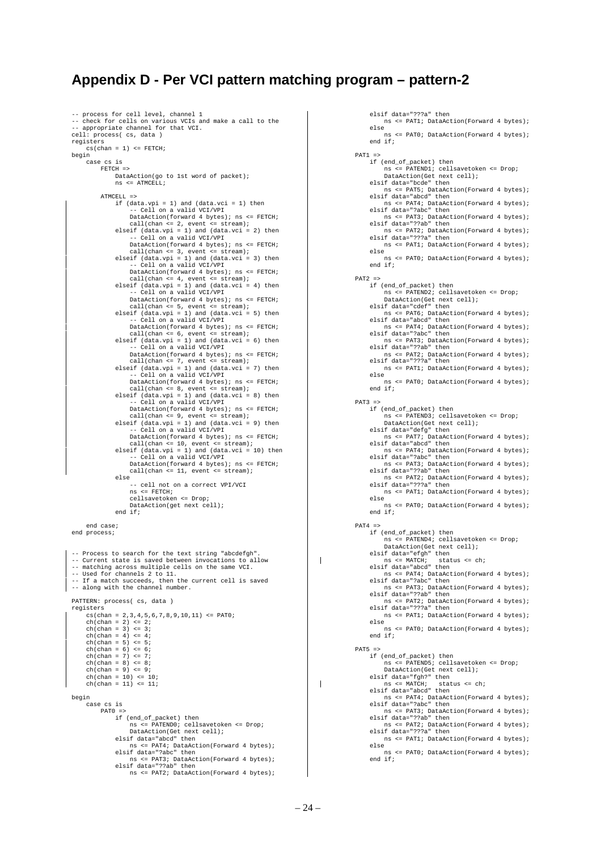## **Appendix D - Per VCI pattern matching program – pattern-2**

```
-- process for cell level, channel 1
 -- check for cells on various VCIs and make a call to the
-- appropriate channel for that VCI.
cell: process( cs, data )
registers
      cs(chan = 1) \leq FETCH;
begin
       case cs is
            FETCH =>
                  DataAction(go to 1st word of packet);
                 ns \leq \text{ATMCRLL}ATMCEL<sup>1</sup>\rightarrow if (data.vpi = 1) and (data.vci = 1) then
 -- Cell on a valid VCI/VPI
                       DataAction(forward 4 bytes); ns <= FETCH;
  call(chan <= 2, event <= stream);
 elseif (data.vpi = 1) and (data.vci = 2) then
  -- Cell on a valid VCI/VPI
 DataAction(forward 4 bytes); ns <= FETCH;
  call(chan <= 3, event <= stream);
 elseif (data.vpi = 1) and (data.vci = 3) then
                           Cell on a valid VCI/VPI
                       DataAction(forward 4 bytes); ns <= FETCH;
 call(chan <= 4, event <= stream);<br>elseif (data.vpi = 1) and (data.vci = 4) then<br>-- Cell on a valid VCI/VPI
 DataAction(forward 4 bytes); ns <= FETCH;<br>
call(chan <= 5, event <= stream);<br>
elseif (data.vpi = 1) and (data.vci = 5) then<br>
-- Cell on a valid VCI/VPI
 DataAction(forward 4 bytes); ns <= FETCH;<br>call(chan <= 6, event <= stream);<br>elseif (data.vpi = 1) and (data.vci = 6) then
  -- Cell on a valid VCI/VPI
 DataAction(forward 4 bytes); ns <= FETCH;
 call(chan <= 7, event <= stream);<br>elseif (data.vpi = 1) and (data.vci = 7) then<br>-- Cell on a valid VCI/VPI
 DataAction(forward 4 bytes); ns <= FETCH;<br>call(chan <= 8, event <= stream);<br>elseif (data.vpi = 1) and (data.vci = 8) then
  -- Cell on a valid VCI/VPI
 DataAction(forward 4 bytes); ns <= FETCH;
  call(chan <= 9, event <= stream);
 elseif (data.vpi = 1) and (data.vci = 9) then
  -- Cell on a valid VCI/VPI
 DataAction(forward 4 bytes); ns <= FETCH;
  call(chan <= 10, event <= stream);
 elseif (data.vpi = 1) and (data.vci = 10) then
 -- Cell on a valid VCI/VPI
                       DataAction(forward 4 bytes); ns <= FETCH;
                       call(char \leq 11, event \leq 11, event) else
                         -- cell not on a correct VPI/VCI
                        ns <= FETCH;
  cellsavetoken <= Drop;
 DataAction(get next cell);
                  end if;
       end case;
end process;
-- Process to search for the text string "abcdefgh".<br>-- Current state is saved between invocations to allow
 -- Current state is saved between invocations to allow
-- matching across multiple cells on the same VCI.
 -- Used for channels 2 to 11.
-- If a match succeeds, then the current cell is saved
-- along with the channel number.
PATTERN: process( cs, data )
registers
       cs(chan = 2,3,4,5,6,7,8,9,10,11) <= PAT0;
 ch(chan = 2) \leq 2;<br>ch(chan = 3) \leq 3;ch(chan = 4) \leq 4;ch(chan = 5) \leq 5;<br>ch(chan = 6) \leq 6;ch(chan = 7) \leq 7;ch(chan = 8) <= 8;
      ch(chan = 9) \leq 9; ch(chan = 10) <= 10;
 ch(chan = 11) <= 11;
begin
       case cs is
            PAT0 = if (end_of_packet) then
                         ns <= PATEND0; cellsavetoken <= Drop;
                        DataAction(Get next cell);
  elsif data="abcd" then
 ns <= PAT4; DataAction(Forward 4 bytes);
  elsif data="?abc" then
 ns <= PAT3; DataAction(Forward 4 bytes);
                  elsif data="??ab" then
                        ns <= PAT2; DataAction(Forward 4 bytes);
```

```
 elsif data="???a" then
                  ns <= PAT1; DataAction(Forward 4 bytes);
              else
                  ns <= PAT0; DataAction(Forward 4 bytes);
              end if;
        PAT1 = > if (end_of_packet) then
                  ns <= PATEND1; cellsavetoken <= Drop;
                   DataAction(Get next cell);
              elsif data="bcde" then
 ns <= PAT5; DataAction(Forward 4 bytes);
 elsif data="abcd" then
 ns <= PAT4; DataAction(Forward 4 bytes);
 elsif data="?abc" then
                  ns <= PAT3; DataAction(Forward 4 bytes);
              elsif data="??ab" then
 ns <= PAT2; DataAction(Forward 4 bytes);
 elsif data="???a" then
                  ns <= PAT1; DataAction(Forward 4 bytes);
              else
                  ns <= PAT0; DataAction(Forward 4 bytes);
              end if;
        PAT2 = if (end_of_packet) then
 ns <= PATEND2; cellsavetoken <= Drop;
 DataAction(Get next cell);
 elsif data="cdef" then
 ns <= PAT6; DataAction(Forward 4 bytes);
 elsif data="abcd" then
                  ns <= PAT4; DataAction(Forward 4 bytes);
 elsif data="?abc" then
 ns <= PAT3; DataAction(Forward 4 bytes);
 elsif data="??ab" then
 ns <= PAT2; DataAction(Forward 4 bytes);
              elsif data="???a" then
                  ns <= PAT1; DataAction(Forward 4 bytes);
              else
                 -<br>ns <= PAT0; DataAction(Forward 4 bytes);
              end if;
        PAT3 = if (end_of_packet) then
                  ns <= PATEND3; cellsavetoken <= Drop;
                  DataAction(Get next cell);
 elsif data="defg" then
 ns <= PAT7; DataAction(Forward 4 bytes);
              elsif data="abcd" then
 ns <= PAT4; DataAction(Forward 4 bytes);
 elsif data="?abc" then
 ns <= PAT3; DataAction(Forward 4 bytes);
 elsif data="??ab" then
 ns <= PAT2; DataAction(Forward 4 bytes);
 elsif data="???a" then
                  ns <= PAT1; DataAction(Forward 4 bytes);
              else
                  ns <= PAT0; DataAction(Forward 4 bytes);
             end if f;
        PAT4 = if (end_of_packet) then
 ns <= PATEND4; cellsavetoken <= Drop;
 DataAction(Get next cell);
 elsif data="efgh" then
 ns <= MATCH; status <= ch;
 elsif data="abcd" then
                  ns <= PAT4; DataAction(Forward 4 bytes);
              elsif data="?abc" then
                  ns <= PAT3; DataAction(Forward 4 bytes);
              elsif data="??ab" then
                  ns <= PAT2; DataAction(Forward 4 bytes);
              elsif data="???a" then
                  ns <= PAT1; DataAction(Forward 4 bytes);
              else
                  ns <= PAT0; DataAction(Forward 4 bytes);
              end if;
        PAT5 =>
              if (end_of_packet) then
                  ns <= PATEND5; cellsavetoken <= Drop;
                  DataAction(Get next cell);
elsif data="fgh?" then<br>
ns <= MATCH; status <= ch;<br>
elsif data="abcd" then<br>
ns <= PAT4; DataAction(Forward 4 bytes);
              elsif data="?abc" then
                  ns <= PAT3; DataAction(Forward 4 bytes);
              elsif data="??ab" then
 ns <= PAT2; DataAction(Forward 4 bytes);
 elsif data="???a" then
                  ns <= PAT1; DataAction(Forward 4 bytes);
              else
                  ns <= PAT0; DataAction(Forward 4 bytes);
              end if;
```
 $\mathbf{I}$ 

 $\mathbf{I}$